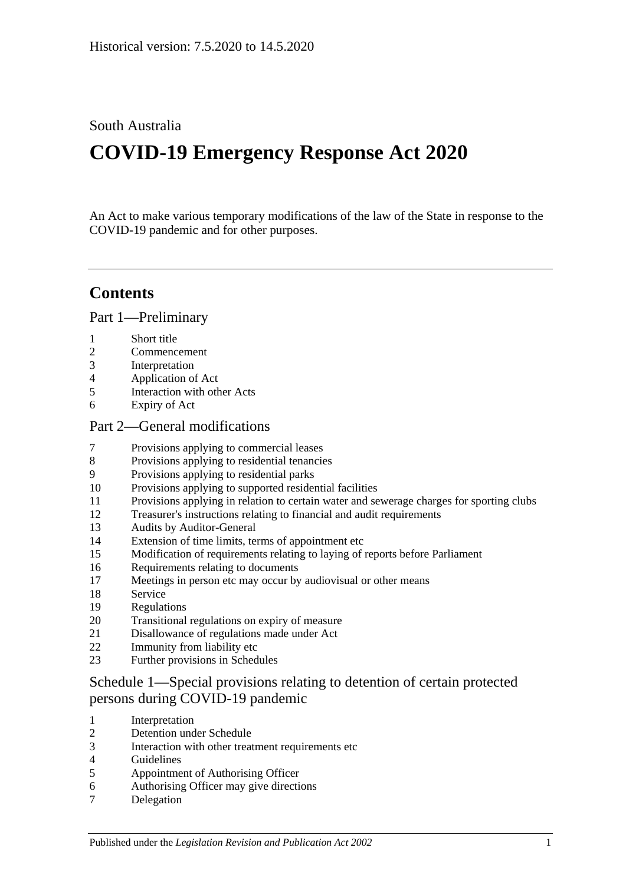## South Australia

# **COVID-19 Emergency Response Act 2020**

An Act to make various temporary modifications of the law of the State in response to the COVID-19 pandemic and for other purposes.

## **Contents**

Part [1—Preliminary](#page-1-0)

- [Short title](#page-1-1)
- [Commencement](#page-1-2)
- [Interpretation](#page-2-0)
- [Application of Act](#page-2-1)
- [Interaction with other Acts](#page-2-2)
- [Expiry of Act](#page-2-3)

#### Part [2—General modifications](#page-3-0)

- [Provisions applying to commercial leases](#page-3-1)
- [Provisions applying to residential tenancies](#page-6-0)
- [Provisions applying to residential parks](#page-9-0)
- [Provisions applying to supported residential facilities](#page-10-0)
- [Provisions applying in relation to certain water and sewerage charges for sporting clubs](#page-11-0)
- [Treasurer's instructions relating to financial and audit requirements](#page-12-0)
- [Audits by Auditor-General](#page-13-0)
- [Extension of time limits, terms of appointment etc](#page-13-1)
- [Modification of requirements relating to laying of reports before Parliament](#page-14-0)
- [Requirements relating to documents](#page-15-0)
- [Meetings in person etc may occur by audiovisual or other means](#page-15-1)
- [Service](#page-15-2)
- [Regulations](#page-16-0)
- [Transitional regulations on expiry of measure](#page-17-0)
- [Disallowance of regulations made under Act](#page-18-0)
- [Immunity from liability etc](#page-18-1)
- [Further provisions in Schedules](#page-18-2)

## Schedule [1—Special provisions relating to detention of certain protected](#page-18-3)  [persons during COVID-19 pandemic](#page-18-3)

- [Interpretation](#page-18-4)
- [Detention under Schedule](#page-19-0)
- [Interaction with other treatment requirements etc](#page-20-0)
- [Guidelines](#page-20-1)
- [Appointment of Authorising Officer](#page-20-2)
- [Authorising Officer may give directions](#page-21-0)
- [Delegation](#page-21-1)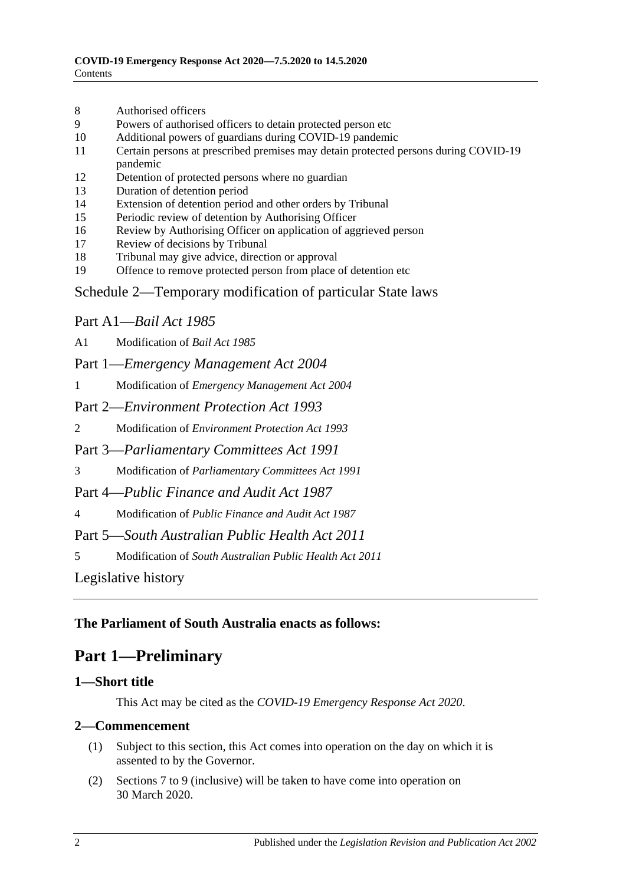- 8 [Authorised officers](#page-22-0)
- 9 [Powers of authorised officers to detain protected person etc](#page-22-1)
- 10 [Additional powers of guardians during COVID-19 pandemic](#page-23-0)
- 11 [Certain persons at prescribed premises may detain protected persons during COVID-19](#page-23-1)  [pandemic](#page-23-1)
- 12 [Detention of protected persons where no guardian](#page-24-0)
- 13 [Duration of detention period](#page-24-1)
- 14 [Extension of detention period and other orders by Tribunal](#page-25-0)
- 15 [Periodic review of detention by Authorising Officer](#page-25-1)
- 16 [Review by Authorising Officer on application of aggrieved person](#page-25-2)
- 17 [Review of decisions by Tribunal](#page-26-0)
- 18 [Tribunal may give advice, direction or approval](#page-26-1)
- 19 [Offence to remove protected person from place of detention etc](#page-26-2)

#### Schedule [2—Temporary modification of particular State laws](#page-27-0)

### Part A1—*Bail Act 1985*

A1 [Modification of](#page-27-1) *Bail Act 1985*

Part 1—*Emergency Management Act 2004*

1 Modification of *[Emergency Management Act](#page-27-2) 2004*

Part 2—*Environment Protection Act 1993*

2 Modification of *[Environment Protection Act](#page-29-0) 1993*

Part 3—*Parliamentary Committees Act 1991*

3 Modification of *[Parliamentary Committees Act](#page-29-1) 1991*

Part 4—*Public Finance and Audit Act 1987*

4 Modification of *[Public Finance and Audit Act](#page-31-0) 1987*

Part 5—*South Australian Public Health Act 2011*

5 Modification of *[South Australian Public Health Act](#page-31-1) 2011*

[Legislative history](#page-33-0)

### <span id="page-1-0"></span>**The Parliament of South Australia enacts as follows:**

## **Part 1—Preliminary**

#### <span id="page-1-1"></span>**1—Short title**

This Act may be cited as the *COVID-19 Emergency Response Act 2020*.

#### <span id="page-1-2"></span>**2—Commencement**

- (1) Subject to this section, this Act comes into operation on the day on which it is assented to by the Governor.
- (2) [Sections](#page-3-1) 7 to [9](#page-9-0) (inclusive) will be taken to have come into operation on 30 March 2020.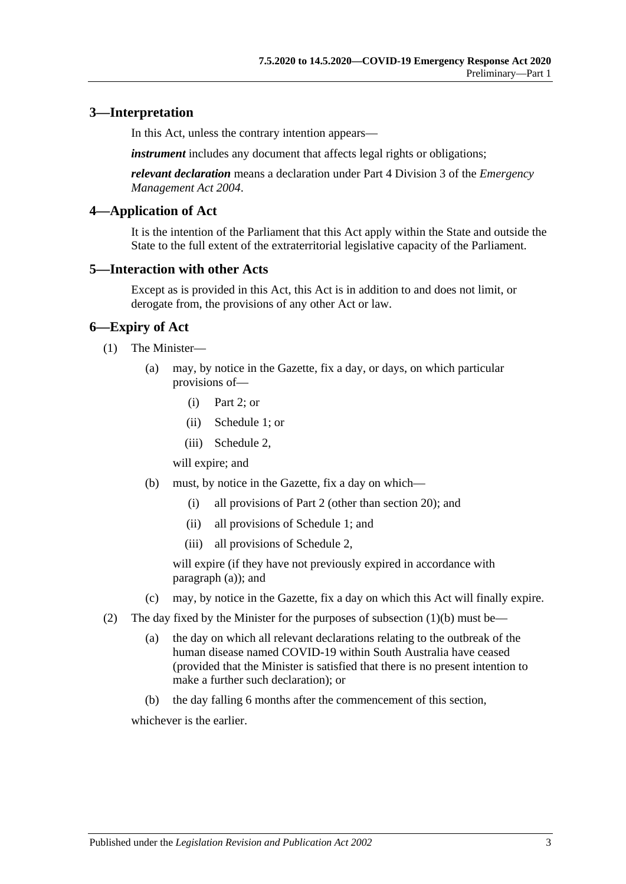### <span id="page-2-0"></span>**3—Interpretation**

In this Act, unless the contrary intention appears—

*instrument* includes any document that affects legal rights or obligations;

*relevant declaration* means a declaration under Part 4 Division 3 of the *[Emergency](http://www.legislation.sa.gov.au/index.aspx?action=legref&type=act&legtitle=Emergency%20Management%20Act%202004)  [Management Act](http://www.legislation.sa.gov.au/index.aspx?action=legref&type=act&legtitle=Emergency%20Management%20Act%202004) 2004*.

#### <span id="page-2-1"></span>**4—Application of Act**

It is the intention of the Parliament that this Act apply within the State and outside the State to the full extent of the extraterritorial legislative capacity of the Parliament.

#### <span id="page-2-2"></span>**5—Interaction with other Acts**

Except as is provided in this Act, this Act is in addition to and does not limit, or derogate from, the provisions of any other Act or law.

#### <span id="page-2-3"></span>**6—Expiry of Act**

- <span id="page-2-4"></span>(1) The Minister—
	- (a) may, by notice in the Gazette, fix a day, or days, on which particular provisions of—
		- (i) [Part](#page-3-0) 2; or
		- (ii) [Schedule](#page-18-3) 1; or
		- (iii) [Schedule](#page-27-0) 2,

will expire; and

- <span id="page-2-5"></span>(b) must, by notice in the Gazette, fix a day on which—
	- (i) all provisions of [Part](#page-3-0) 2 (other than [section](#page-17-0) 20); and
	- (ii) all provisions of [Schedule](#page-18-3) 1; and
	- (iii) all provisions of [Schedule](#page-27-0) 2,

will expire (if they have not previously expired in accordance with [paragraph](#page-2-4) (a)); and

- (c) may, by notice in the Gazette, fix a day on which this Act will finally expire.
- (2) The day fixed by the Minister for the purposes of [subsection](#page-2-5) (1)(b) must be—
	- (a) the day on which all relevant declarations relating to the outbreak of the human disease named COVID-19 within South Australia have ceased (provided that the Minister is satisfied that there is no present intention to make a further such declaration); or
	- (b) the day falling 6 months after the commencement of this section,

whichever is the earlier.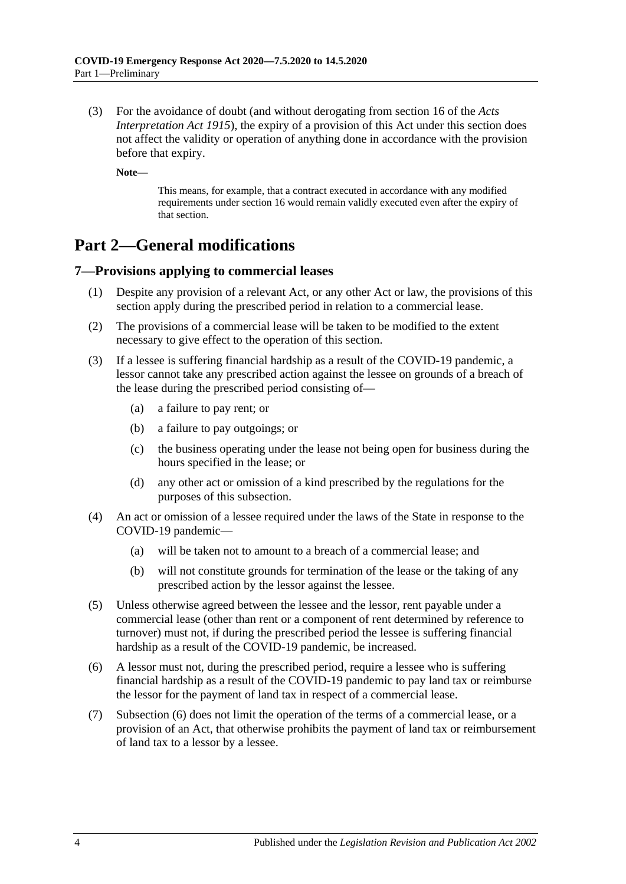(3) For the avoidance of doubt (and without derogating from section 16 of the *[Acts](http://www.legislation.sa.gov.au/index.aspx?action=legref&type=act&legtitle=Acts%20Interpretation%20Act%201915)  [Interpretation Act](http://www.legislation.sa.gov.au/index.aspx?action=legref&type=act&legtitle=Acts%20Interpretation%20Act%201915) 1915*), the expiry of a provision of this Act under this section does not affect the validity or operation of anything done in accordance with the provision before that expiry.

**Note—**

This means, for example, that a contract executed in accordance with any modified requirements under [section](#page-15-0) 16 would remain validly executed even after the expiry of that section.

## <span id="page-3-0"></span>**Part 2—General modifications**

## <span id="page-3-1"></span>**7—Provisions applying to commercial leases**

- (1) Despite any provision of a relevant Act, or any other Act or law, the provisions of this section apply during the prescribed period in relation to a commercial lease.
- (2) The provisions of a commercial lease will be taken to be modified to the extent necessary to give effect to the operation of this section.
- (3) If a lessee is suffering financial hardship as a result of the COVID-19 pandemic, a lessor cannot take any prescribed action against the lessee on grounds of a breach of the lease during the prescribed period consisting of—
	- (a) a failure to pay rent; or
	- (b) a failure to pay outgoings; or
	- (c) the business operating under the lease not being open for business during the hours specified in the lease; or
	- (d) any other act or omission of a kind prescribed by the regulations for the purposes of this subsection.
- (4) An act or omission of a lessee required under the laws of the State in response to the COVID-19 pandemic—
	- (a) will be taken not to amount to a breach of a commercial lease; and
	- (b) will not constitute grounds for termination of the lease or the taking of any prescribed action by the lessor against the lessee.
- (5) Unless otherwise agreed between the lessee and the lessor, rent payable under a commercial lease (other than rent or a component of rent determined by reference to turnover) must not, if during the prescribed period the lessee is suffering financial hardship as a result of the COVID-19 pandemic, be increased.
- <span id="page-3-2"></span>(6) A lessor must not, during the prescribed period, require a lessee who is suffering financial hardship as a result of the COVID-19 pandemic to pay land tax or reimburse the lessor for the payment of land tax in respect of a commercial lease.
- (7) [Subsection](#page-3-2) (6) does not limit the operation of the terms of a commercial lease, or a provision of an Act, that otherwise prohibits the payment of land tax or reimbursement of land tax to a lessor by a lessee.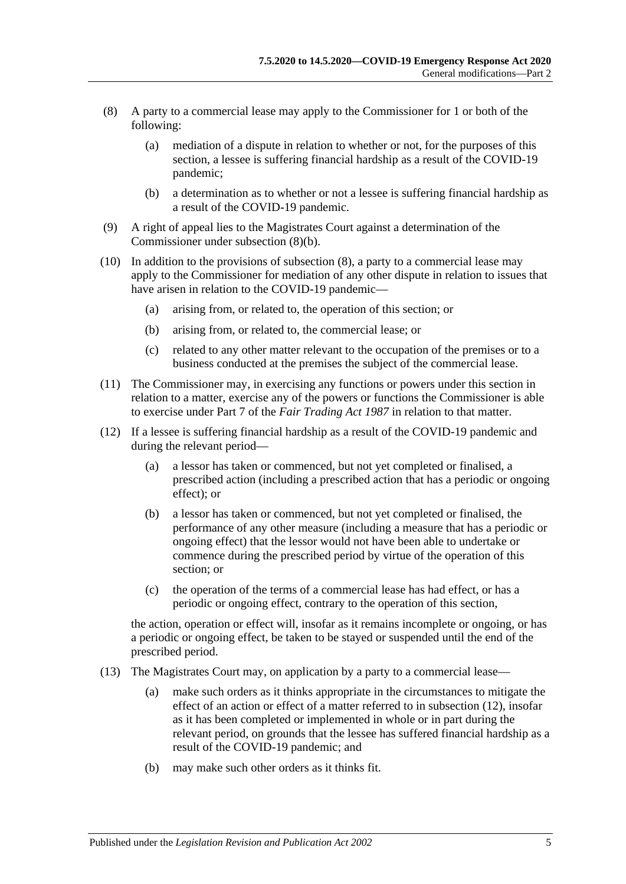- <span id="page-4-1"></span>(8) A party to a commercial lease may apply to the Commissioner for 1 or both of the following:
	- (a) mediation of a dispute in relation to whether or not, for the purposes of this section, a lessee is suffering financial hardship as a result of the COVID-19 pandemic;
	- (b) a determination as to whether or not a lessee is suffering financial hardship as a result of the COVID-19 pandemic.
- <span id="page-4-0"></span>(9) A right of appeal lies to the Magistrates Court against a determination of the Commissioner under [subsection](#page-4-0) (8)(b).
- (10) In addition to the provisions of [subsection](#page-4-1) (8), a party to a commercial lease may apply to the Commissioner for mediation of any other dispute in relation to issues that have arisen in relation to the COVID-19 pandemic—
	- (a) arising from, or related to, the operation of this section; or
	- (b) arising from, or related to, the commercial lease; or
	- (c) related to any other matter relevant to the occupation of the premises or to a business conducted at the premises the subject of the commercial lease.
- (11) The Commissioner may, in exercising any functions or powers under this section in relation to a matter, exercise any of the powers or functions the Commissioner is able to exercise under Part 7 of the *[Fair Trading](http://www.legislation.sa.gov.au/index.aspx?action=legref&type=act&legtitle=Fair%20Trading%20Act%201987) Act 1987* in relation to that matter.
- <span id="page-4-2"></span>(12) If a lessee is suffering financial hardship as a result of the COVID-19 pandemic and during the relevant period—
	- (a) a lessor has taken or commenced, but not yet completed or finalised, a prescribed action (including a prescribed action that has a periodic or ongoing effect); or
	- (b) a lessor has taken or commenced, but not yet completed or finalised, the performance of any other measure (including a measure that has a periodic or ongoing effect) that the lessor would not have been able to undertake or commence during the prescribed period by virtue of the operation of this section; or
	- (c) the operation of the terms of a commercial lease has had effect, or has a periodic or ongoing effect, contrary to the operation of this section,

the action, operation or effect will, insofar as it remains incomplete or ongoing, or has a periodic or ongoing effect, be taken to be stayed or suspended until the end of the prescribed period.

- <span id="page-4-3"></span>(13) The Magistrates Court may, on application by a party to a commercial lease—
	- (a) make such orders as it thinks appropriate in the circumstances to mitigate the effect of an action or effect of a matter referred to in [subsection](#page-4-2) (12), insofar as it has been completed or implemented in whole or in part during the relevant period, on grounds that the lessee has suffered financial hardship as a result of the COVID-19 pandemic; and
	- (b) may make such other orders as it thinks fit.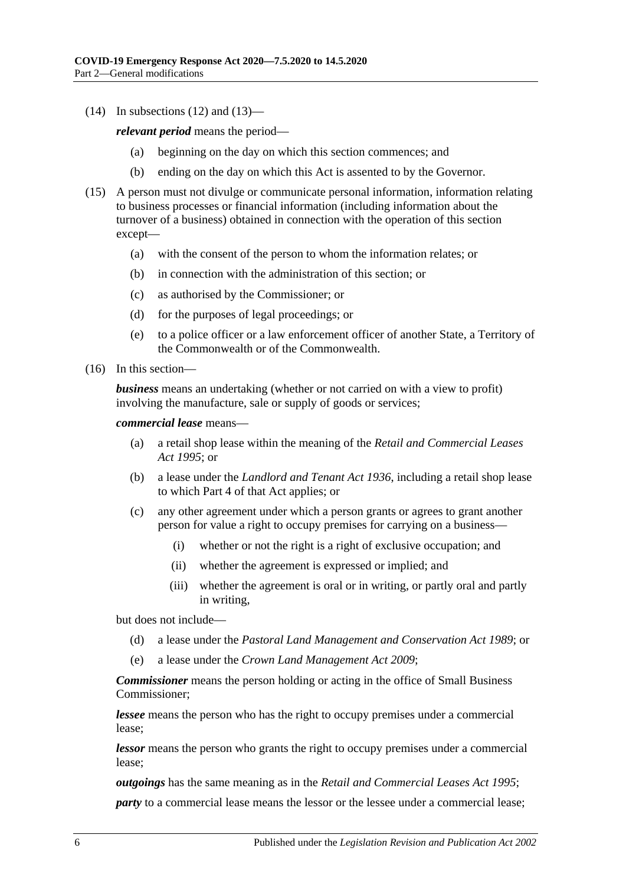$(14)$  In [subsections](#page-4-2)  $(12)$  and  $(13)$ —

*relevant period* means the period—

- (a) beginning on the day on which this section commences; and
- (b) ending on the day on which this Act is assented to by the Governor.
- (15) A person must not divulge or communicate personal information, information relating to business processes or financial information (including information about the turnover of a business) obtained in connection with the operation of this section except—
	- (a) with the consent of the person to whom the information relates; or
	- (b) in connection with the administration of this section; or
	- (c) as authorised by the Commissioner; or
	- (d) for the purposes of legal proceedings; or
	- (e) to a police officer or a law enforcement officer of another State, a Territory of the Commonwealth or of the Commonwealth.
- (16) In this section—

*business* means an undertaking (whether or not carried on with a view to profit) involving the manufacture, sale or supply of goods or services;

*commercial lease* means—

- (a) a retail shop lease within the meaning of the *[Retail and Commercial Leases](http://www.legislation.sa.gov.au/index.aspx?action=legref&type=act&legtitle=Retail%20and%20Commercial%20Leases%20Act%201995)  Act [1995](http://www.legislation.sa.gov.au/index.aspx?action=legref&type=act&legtitle=Retail%20and%20Commercial%20Leases%20Act%201995)*; or
- (b) a lease under the *[Landlord and Tenant Act](http://www.legislation.sa.gov.au/index.aspx?action=legref&type=act&legtitle=Landlord%20and%20Tenant%20Act%201936) 1936*, including a retail shop lease to which Part 4 of that Act applies; or
- (c) any other agreement under which a person grants or agrees to grant another person for value a right to occupy premises for carrying on a business—
	- (i) whether or not the right is a right of exclusive occupation; and
	- (ii) whether the agreement is expressed or implied; and
	- (iii) whether the agreement is oral or in writing, or partly oral and partly in writing,

but does not include—

- (d) a lease under the *[Pastoral Land Management and Conservation Act](http://www.legislation.sa.gov.au/index.aspx?action=legref&type=act&legtitle=Pastoral%20Land%20Management%20and%20Conservation%20Act%201989) 1989*; or
- (e) a lease under the *[Crown Land Management Act](http://www.legislation.sa.gov.au/index.aspx?action=legref&type=act&legtitle=Crown%20Land%20Management%20Act%202009) 2009*;

*Commissioner* means the person holding or acting in the office of Small Business Commissioner;

*lessee* means the person who has the right to occupy premises under a commercial lease;

*lessor* means the person who grants the right to occupy premises under a commercial lease;

*outgoings* has the same meaning as in the *[Retail and Commercial Leases Act](http://www.legislation.sa.gov.au/index.aspx?action=legref&type=act&legtitle=Retail%20and%20Commercial%20Leases%20Act%201995) 1995*;

*party* to a commercial lease means the lessor or the lessee under a commercial lease;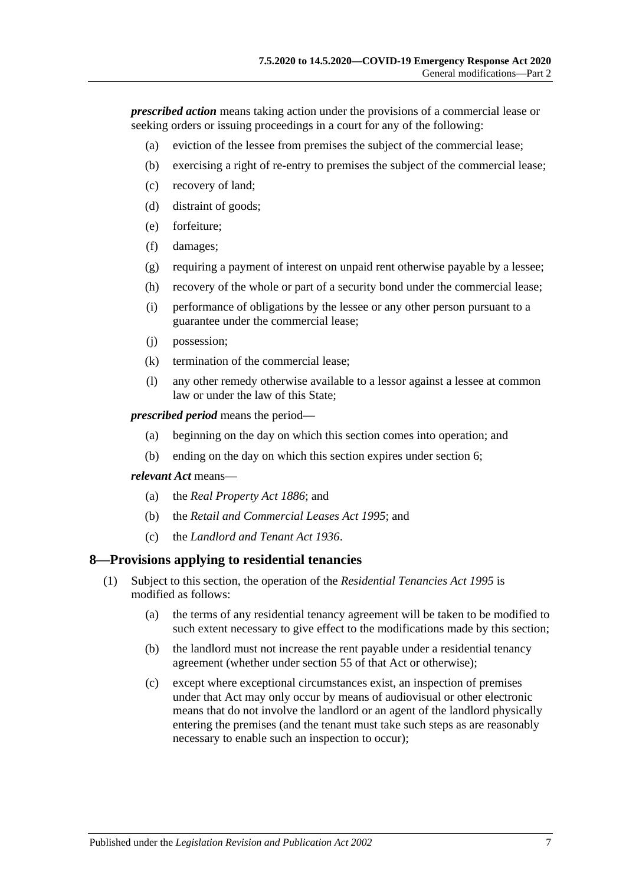*prescribed action* means taking action under the provisions of a commercial lease or seeking orders or issuing proceedings in a court for any of the following:

- (a) eviction of the lessee from premises the subject of the commercial lease;
- (b) exercising a right of re-entry to premises the subject of the commercial lease;
- (c) recovery of land;
- (d) distraint of goods;
- (e) forfeiture;
- (f) damages;
- (g) requiring a payment of interest on unpaid rent otherwise payable by a lessee;
- (h) recovery of the whole or part of a security bond under the commercial lease;
- (i) performance of obligations by the lessee or any other person pursuant to a guarantee under the commercial lease;
- (j) possession;
- (k) termination of the commercial lease;
- (l) any other remedy otherwise available to a lessor against a lessee at common law or under the law of this State;

*prescribed period* means the period—

- (a) beginning on the day on which this section comes into operation; and
- (b) ending on the day on which this section expires under [section](#page-2-3) 6;

#### *relevant Act* means—

- (a) the *[Real Property Act](http://www.legislation.sa.gov.au/index.aspx?action=legref&type=act&legtitle=Real%20Property%20Act%201886) 1886*; and
- (b) the *[Retail and Commercial Leases Act](http://www.legislation.sa.gov.au/index.aspx?action=legref&type=act&legtitle=Retail%20and%20Commercial%20Leases%20Act%201995) 1995*; and
- (c) the *[Landlord and Tenant Act](http://www.legislation.sa.gov.au/index.aspx?action=legref&type=act&legtitle=Landlord%20and%20Tenant%20Act%201936) 1936*.

### <span id="page-6-0"></span>**8—Provisions applying to residential tenancies**

- (1) Subject to this section, the operation of the *[Residential Tenancies Act](http://www.legislation.sa.gov.au/index.aspx?action=legref&type=act&legtitle=Residential%20Tenancies%20Act%201995) 1995* is modified as follows:
	- (a) the terms of any residential tenancy agreement will be taken to be modified to such extent necessary to give effect to the modifications made by this section;
	- (b) the landlord must not increase the rent payable under a residential tenancy agreement (whether under section 55 of that Act or otherwise);
	- (c) except where exceptional circumstances exist, an inspection of premises under that Act may only occur by means of audiovisual or other electronic means that do not involve the landlord or an agent of the landlord physically entering the premises (and the tenant must take such steps as are reasonably necessary to enable such an inspection to occur);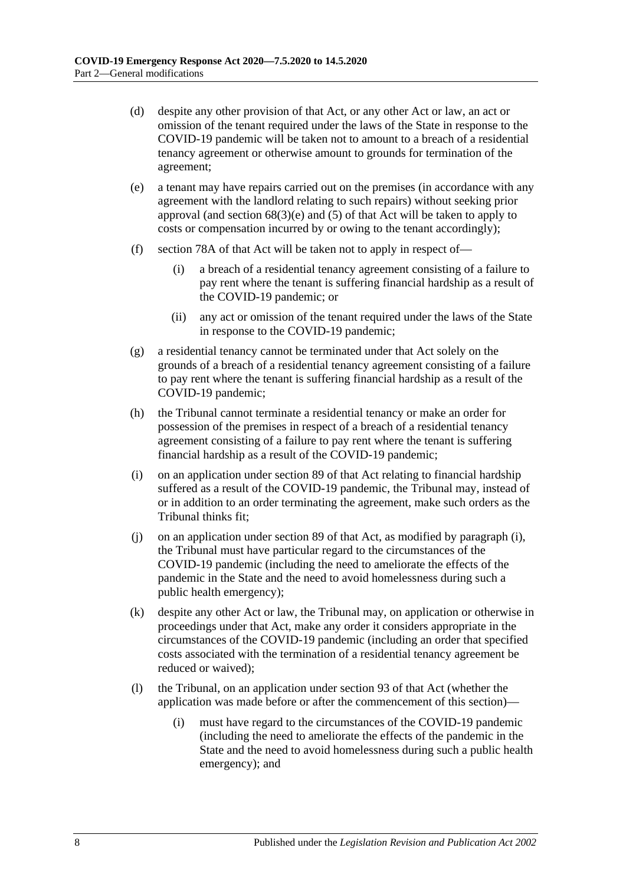- (d) despite any other provision of that Act, or any other Act or law, an act or omission of the tenant required under the laws of the State in response to the COVID-19 pandemic will be taken not to amount to a breach of a residential tenancy agreement or otherwise amount to grounds for termination of the agreement;
- (e) a tenant may have repairs carried out on the premises (in accordance with any agreement with the landlord relating to such repairs) without seeking prior approval (and section  $68(3)(e)$  and  $(5)$  of that Act will be taken to apply to costs or compensation incurred by or owing to the tenant accordingly);
- (f) section 78A of that Act will be taken not to apply in respect of—
	- (i) a breach of a residential tenancy agreement consisting of a failure to pay rent where the tenant is suffering financial hardship as a result of the COVID-19 pandemic; or
	- (ii) any act or omission of the tenant required under the laws of the State in response to the COVID-19 pandemic;
- (g) a residential tenancy cannot be terminated under that Act solely on the grounds of a breach of a residential tenancy agreement consisting of a failure to pay rent where the tenant is suffering financial hardship as a result of the COVID-19 pandemic;
- (h) the Tribunal cannot terminate a residential tenancy or make an order for possession of the premises in respect of a breach of a residential tenancy agreement consisting of a failure to pay rent where the tenant is suffering financial hardship as a result of the COVID-19 pandemic;
- <span id="page-7-0"></span>(i) on an application under section 89 of that Act relating to financial hardship suffered as a result of the COVID-19 pandemic, the Tribunal may, instead of or in addition to an order terminating the agreement, make such orders as the Tribunal thinks fit;
- (j) on an application under section 89 of that Act, as modified by [paragraph](#page-7-0) (i), the Tribunal must have particular regard to the circumstances of the COVID-19 pandemic (including the need to ameliorate the effects of the pandemic in the State and the need to avoid homelessness during such a public health emergency);
- (k) despite any other Act or law, the Tribunal may, on application or otherwise in proceedings under that Act, make any order it considers appropriate in the circumstances of the COVID-19 pandemic (including an order that specified costs associated with the termination of a residential tenancy agreement be reduced or waived);
- (l) the Tribunal, on an application under section 93 of that Act (whether the application was made before or after the commencement of this section)—
	- (i) must have regard to the circumstances of the COVID-19 pandemic (including the need to ameliorate the effects of the pandemic in the State and the need to avoid homelessness during such a public health emergency); and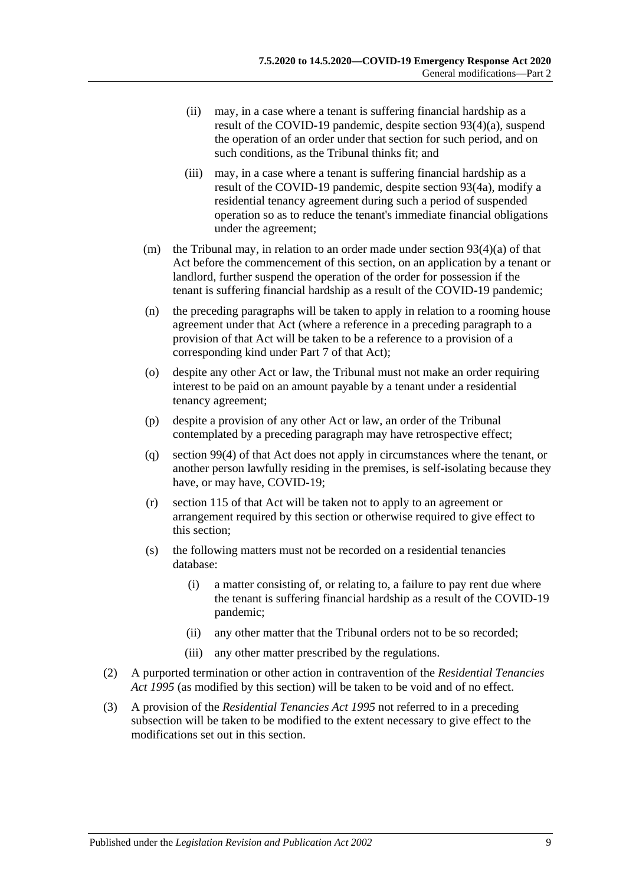- (ii) may, in a case where a tenant is suffering financial hardship as a result of the COVID-19 pandemic, despite section 93(4)(a), suspend the operation of an order under that section for such period, and on such conditions, as the Tribunal thinks fit; and
- (iii) may, in a case where a tenant is suffering financial hardship as a result of the COVID-19 pandemic, despite section 93(4a), modify a residential tenancy agreement during such a period of suspended operation so as to reduce the tenant's immediate financial obligations under the agreement;
- (m) the Tribunal may, in relation to an order made under section  $93(4)(a)$  of that Act before the commencement of this section, on an application by a tenant or landlord, further suspend the operation of the order for possession if the tenant is suffering financial hardship as a result of the COVID-19 pandemic;
- (n) the preceding paragraphs will be taken to apply in relation to a rooming house agreement under that Act (where a reference in a preceding paragraph to a provision of that Act will be taken to be a reference to a provision of a corresponding kind under Part 7 of that Act);
- (o) despite any other Act or law, the Tribunal must not make an order requiring interest to be paid on an amount payable by a tenant under a residential tenancy agreement;
- (p) despite a provision of any other Act or law, an order of the Tribunal contemplated by a preceding paragraph may have retrospective effect;
- (q) section 99(4) of that Act does not apply in circumstances where the tenant, or another person lawfully residing in the premises, is self-isolating because they have, or may have, COVID-19;
- (r) section 115 of that Act will be taken not to apply to an agreement or arrangement required by this section or otherwise required to give effect to this section;
- (s) the following matters must not be recorded on a residential tenancies database:
	- (i) a matter consisting of, or relating to, a failure to pay rent due where the tenant is suffering financial hardship as a result of the COVID-19 pandemic;
	- (ii) any other matter that the Tribunal orders not to be so recorded;
	- (iii) any other matter prescribed by the regulations.
- (2) A purported termination or other action in contravention of the *[Residential Tenancies](http://www.legislation.sa.gov.au/index.aspx?action=legref&type=act&legtitle=Residential%20Tenancies%20Act%201995)  Act [1995](http://www.legislation.sa.gov.au/index.aspx?action=legref&type=act&legtitle=Residential%20Tenancies%20Act%201995)* (as modified by this section) will be taken to be void and of no effect.
- (3) A provision of the *[Residential Tenancies Act](http://www.legislation.sa.gov.au/index.aspx?action=legref&type=act&legtitle=Residential%20Tenancies%20Act%201995) 1995* not referred to in a preceding subsection will be taken to be modified to the extent necessary to give effect to the modifications set out in this section.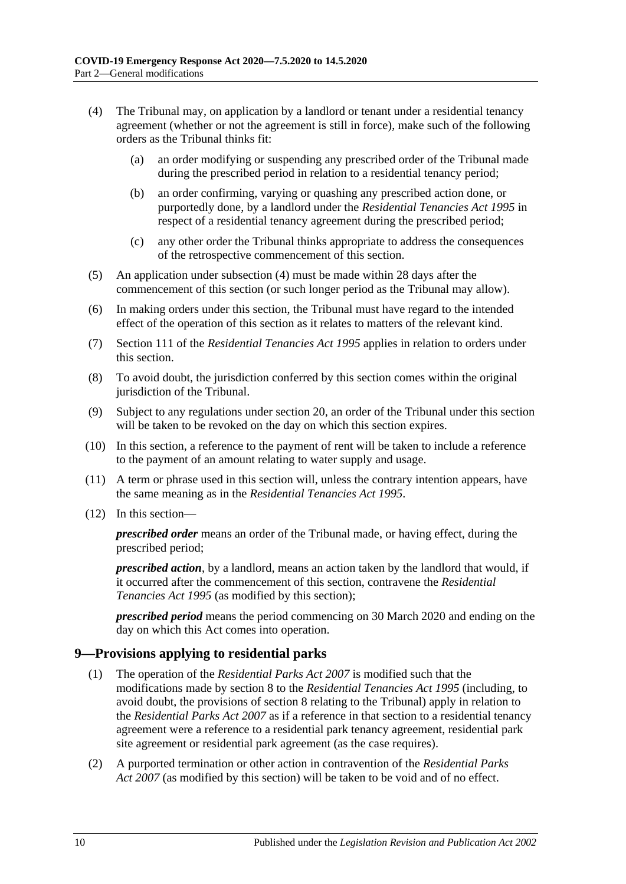- <span id="page-9-1"></span>(4) The Tribunal may, on application by a landlord or tenant under a residential tenancy agreement (whether or not the agreement is still in force), make such of the following orders as the Tribunal thinks fit:
	- (a) an order modifying or suspending any prescribed order of the Tribunal made during the prescribed period in relation to a residential tenancy period;
	- (b) an order confirming, varying or quashing any prescribed action done, or purportedly done, by a landlord under the *[Residential Tenancies Act](http://www.legislation.sa.gov.au/index.aspx?action=legref&type=act&legtitle=Residential%20Tenancies%20Act%201995) 1995* in respect of a residential tenancy agreement during the prescribed period;
	- (c) any other order the Tribunal thinks appropriate to address the consequences of the retrospective commencement of this section.
- (5) An application under [subsection](#page-9-1) (4) must be made within 28 days after the commencement of this section (or such longer period as the Tribunal may allow).
- (6) In making orders under this section, the Tribunal must have regard to the intended effect of the operation of this section as it relates to matters of the relevant kind.
- (7) Section 111 of the *[Residential Tenancies Act](http://www.legislation.sa.gov.au/index.aspx?action=legref&type=act&legtitle=Residential%20Tenancies%20Act%201995) 1995* applies in relation to orders under this section.
- (8) To avoid doubt, the jurisdiction conferred by this section comes within the original jurisdiction of the Tribunal.
- (9) Subject to any regulations under [section](#page-17-0) 20, an order of the Tribunal under this section will be taken to be revoked on the day on which this section expires.
- (10) In this section, a reference to the payment of rent will be taken to include a reference to the payment of an amount relating to water supply and usage.
- (11) A term or phrase used in this section will, unless the contrary intention appears, have the same meaning as in the *[Residential Tenancies Act](http://www.legislation.sa.gov.au/index.aspx?action=legref&type=act&legtitle=Residential%20Tenancies%20Act%201995) 1995*.
- (12) In this section—

*prescribed order* means an order of the Tribunal made, or having effect, during the prescribed period;

*prescribed action*, by a landlord, means an action taken by the landlord that would, if it occurred after the commencement of this section, contravene the *[Residential](http://www.legislation.sa.gov.au/index.aspx?action=legref&type=act&legtitle=Residential%20Tenancies%20Act%201995)  [Tenancies Act](http://www.legislation.sa.gov.au/index.aspx?action=legref&type=act&legtitle=Residential%20Tenancies%20Act%201995) 1995* (as modified by this section);

*prescribed period* means the period commencing on 30 March 2020 and ending on the day on which this Act comes into operation.

### <span id="page-9-0"></span>**9—Provisions applying to residential parks**

- (1) The operation of the *[Residential Parks Act](http://www.legislation.sa.gov.au/index.aspx?action=legref&type=act&legtitle=Residential%20Parks%20Act%202007) 2007* is modified such that the modifications made by [section](#page-6-0) 8 to the *[Residential Tenancies Act](http://www.legislation.sa.gov.au/index.aspx?action=legref&type=act&legtitle=Residential%20Tenancies%20Act%201995) 1995* (including, to avoid doubt, the provisions of [section](#page-6-0) 8 relating to the Tribunal) apply in relation to the *[Residential Parks Act](http://www.legislation.sa.gov.au/index.aspx?action=legref&type=act&legtitle=Residential%20Parks%20Act%202007) 2007* as if a reference in that section to a residential tenancy agreement were a reference to a residential park tenancy agreement, residential park site agreement or residential park agreement (as the case requires).
- (2) A purported termination or other action in contravention of the *[Residential Parks](http://www.legislation.sa.gov.au/index.aspx?action=legref&type=act&legtitle=Residential%20Parks%20Act%202007)  Act [2007](http://www.legislation.sa.gov.au/index.aspx?action=legref&type=act&legtitle=Residential%20Parks%20Act%202007)* (as modified by this section) will be taken to be void and of no effect.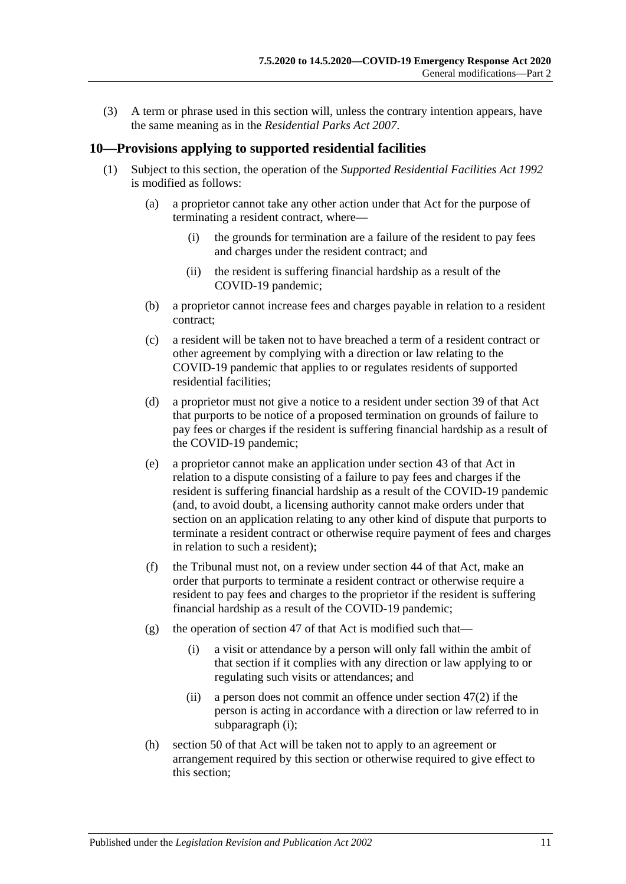(3) A term or phrase used in this section will, unless the contrary intention appears, have the same meaning as in the *[Residential Parks Act](http://www.legislation.sa.gov.au/index.aspx?action=legref&type=act&legtitle=Residential%20Parks%20Act%202007) 2007*.

#### <span id="page-10-0"></span>**10—Provisions applying to supported residential facilities**

- <span id="page-10-1"></span>(1) Subject to this section, the operation of the *[Supported Residential Facilities Act](http://www.legislation.sa.gov.au/index.aspx?action=legref&type=act&legtitle=Supported%20Residential%20Facilities%20Act%201992) 1992* is modified as follows:
	- (a) a proprietor cannot take any other action under that Act for the purpose of terminating a resident contract, where—
		- (i) the grounds for termination are a failure of the resident to pay fees and charges under the resident contract; and
		- (ii) the resident is suffering financial hardship as a result of the COVID-19 pandemic;
	- (b) a proprietor cannot increase fees and charges payable in relation to a resident contract;
	- (c) a resident will be taken not to have breached a term of a resident contract or other agreement by complying with a direction or law relating to the COVID-19 pandemic that applies to or regulates residents of supported residential facilities;
	- (d) a proprietor must not give a notice to a resident under section 39 of that Act that purports to be notice of a proposed termination on grounds of failure to pay fees or charges if the resident is suffering financial hardship as a result of the COVID-19 pandemic;
	- (e) a proprietor cannot make an application under section 43 of that Act in relation to a dispute consisting of a failure to pay fees and charges if the resident is suffering financial hardship as a result of the COVID-19 pandemic (and, to avoid doubt, a licensing authority cannot make orders under that section on an application relating to any other kind of dispute that purports to terminate a resident contract or otherwise require payment of fees and charges in relation to such a resident);
	- (f) the Tribunal must not, on a review under section 44 of that Act, make an order that purports to terminate a resident contract or otherwise require a resident to pay fees and charges to the proprietor if the resident is suffering financial hardship as a result of the COVID-19 pandemic;
	- (g) the operation of section 47 of that Act is modified such that—
		- (i) a visit or attendance by a person will only fall within the ambit of that section if it complies with any direction or law applying to or regulating such visits or attendances; and
		- (ii) a person does not commit an offence under section 47(2) if the person is acting in accordance with a direction or law referred to in [subparagraph](#page-10-1) (i);
	- (h) section 50 of that Act will be taken not to apply to an agreement or arrangement required by this section or otherwise required to give effect to this section;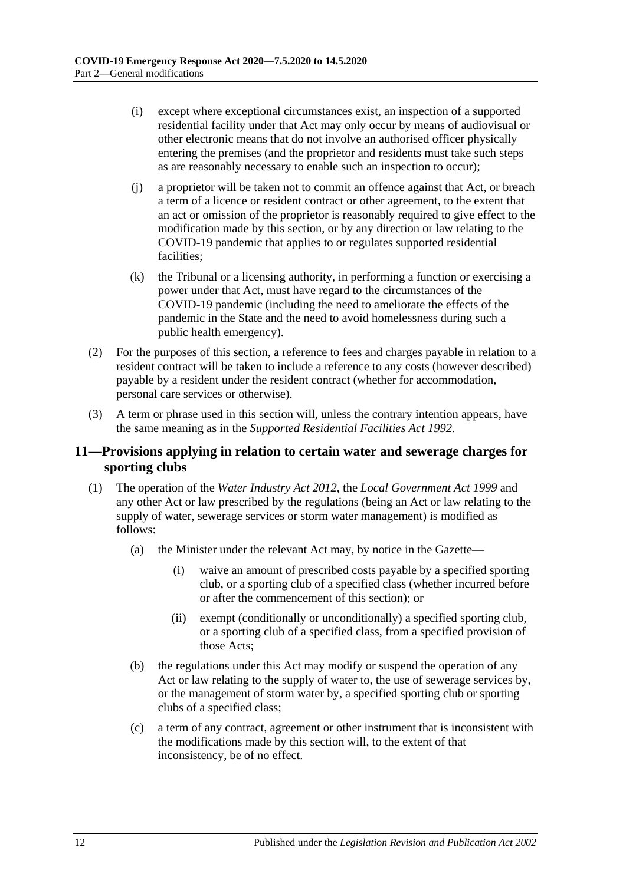- (i) except where exceptional circumstances exist, an inspection of a supported residential facility under that Act may only occur by means of audiovisual or other electronic means that do not involve an authorised officer physically entering the premises (and the proprietor and residents must take such steps as are reasonably necessary to enable such an inspection to occur);
- (j) a proprietor will be taken not to commit an offence against that Act, or breach a term of a licence or resident contract or other agreement, to the extent that an act or omission of the proprietor is reasonably required to give effect to the modification made by this section, or by any direction or law relating to the COVID-19 pandemic that applies to or regulates supported residential facilities;
- (k) the Tribunal or a licensing authority, in performing a function or exercising a power under that Act, must have regard to the circumstances of the COVID-19 pandemic (including the need to ameliorate the effects of the pandemic in the State and the need to avoid homelessness during such a public health emergency).
- (2) For the purposes of this section, a reference to fees and charges payable in relation to a resident contract will be taken to include a reference to any costs (however described) payable by a resident under the resident contract (whether for accommodation, personal care services or otherwise).
- (3) A term or phrase used in this section will, unless the contrary intention appears, have the same meaning as in the *[Supported Residential Facilities Act](http://www.legislation.sa.gov.au/index.aspx?action=legref&type=act&legtitle=Supported%20Residential%20Facilities%20Act%201992) 1992*.

## <span id="page-11-0"></span>**11—Provisions applying in relation to certain water and sewerage charges for sporting clubs**

- (1) The operation of the *[Water Industry Act](http://www.legislation.sa.gov.au/index.aspx?action=legref&type=act&legtitle=Water%20Industry%20Act%202012) 2012*, the *[Local Government Act](http://www.legislation.sa.gov.au/index.aspx?action=legref&type=act&legtitle=Local%20Government%20Act%201999) 1999* and any other Act or law prescribed by the regulations (being an Act or law relating to the supply of water, sewerage services or storm water management) is modified as follows:
	- (a) the Minister under the relevant Act may, by notice in the Gazette—
		- (i) waive an amount of prescribed costs payable by a specified sporting club, or a sporting club of a specified class (whether incurred before or after the commencement of this section); or
		- (ii) exempt (conditionally or unconditionally) a specified sporting club, or a sporting club of a specified class, from a specified provision of those Acts;
	- (b) the regulations under this Act may modify or suspend the operation of any Act or law relating to the supply of water to, the use of sewerage services by, or the management of storm water by, a specified sporting club or sporting clubs of a specified class;
	- (c) a term of any contract, agreement or other instrument that is inconsistent with the modifications made by this section will, to the extent of that inconsistency, be of no effect.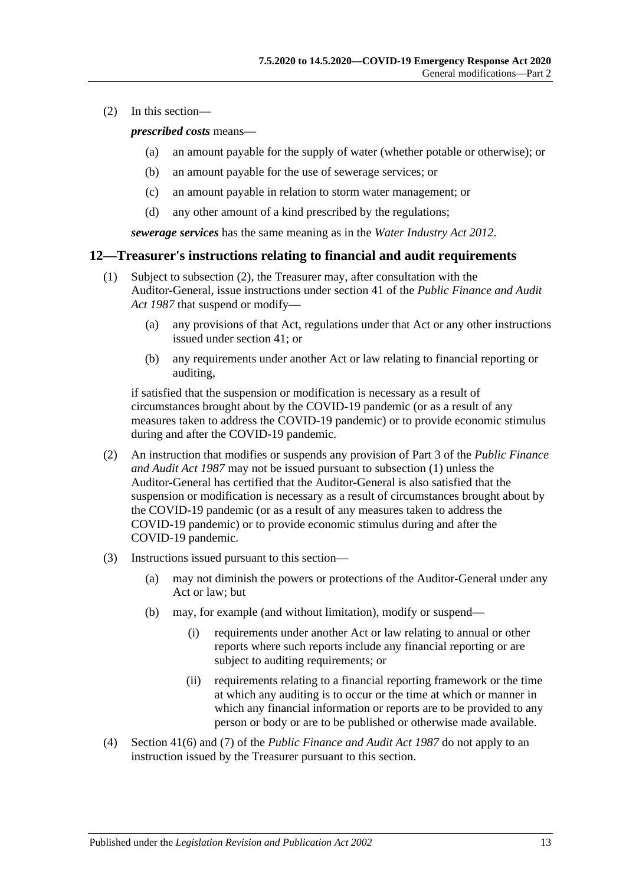(2) In this section—

#### *prescribed costs* means—

- (a) an amount payable for the supply of water (whether potable or otherwise); or
- (b) an amount payable for the use of sewerage services; or
- (c) an amount payable in relation to storm water management; or
- (d) any other amount of a kind prescribed by the regulations;

*sewerage services* has the same meaning as in the *[Water Industry Act](http://www.legislation.sa.gov.au/index.aspx?action=legref&type=act&legtitle=Water%20Industry%20Act%202012) 2012*.

#### <span id="page-12-2"></span><span id="page-12-0"></span>**12—Treasurer's instructions relating to financial and audit requirements**

- (1) Subject to [subsection](#page-12-1) (2), the Treasurer may, after consultation with the Auditor-General, issue instructions under section 41 of the *[Public Finance and Audit](http://www.legislation.sa.gov.au/index.aspx?action=legref&type=act&legtitle=Public%20Finance%20and%20Audit%20Act%201987)  Act [1987](http://www.legislation.sa.gov.au/index.aspx?action=legref&type=act&legtitle=Public%20Finance%20and%20Audit%20Act%201987)* that suspend or modify—
	- (a) any provisions of that Act, regulations under that Act or any other instructions issued under section 41; or
	- (b) any requirements under another Act or law relating to financial reporting or auditing,

if satisfied that the suspension or modification is necessary as a result of circumstances brought about by the COVID-19 pandemic (or as a result of any measures taken to address the COVID-19 pandemic) or to provide economic stimulus during and after the COVID-19 pandemic.

- <span id="page-12-1"></span>(2) An instruction that modifies or suspends any provision of Part 3 of the *[Public Finance](http://www.legislation.sa.gov.au/index.aspx?action=legref&type=act&legtitle=Public%20Finance%20and%20Audit%20Act%201987)  [and Audit Act](http://www.legislation.sa.gov.au/index.aspx?action=legref&type=act&legtitle=Public%20Finance%20and%20Audit%20Act%201987) 1987* may not be issued pursuant to [subsection](#page-12-2) (1) unless the Auditor-General has certified that the Auditor-General is also satisfied that the suspension or modification is necessary as a result of circumstances brought about by the COVID-19 pandemic (or as a result of any measures taken to address the COVID-19 pandemic) or to provide economic stimulus during and after the COVID-19 pandemic.
- (3) Instructions issued pursuant to this section—
	- (a) may not diminish the powers or protections of the Auditor-General under any Act or law; but
	- (b) may, for example (and without limitation), modify or suspend—
		- (i) requirements under another Act or law relating to annual or other reports where such reports include any financial reporting or are subject to auditing requirements; or
		- (ii) requirements relating to a financial reporting framework or the time at which any auditing is to occur or the time at which or manner in which any financial information or reports are to be provided to any person or body or are to be published or otherwise made available.
- (4) Section 41(6) and (7) of the *[Public Finance and Audit Act](http://www.legislation.sa.gov.au/index.aspx?action=legref&type=act&legtitle=Public%20Finance%20and%20Audit%20Act%201987) 1987* do not apply to an instruction issued by the Treasurer pursuant to this section.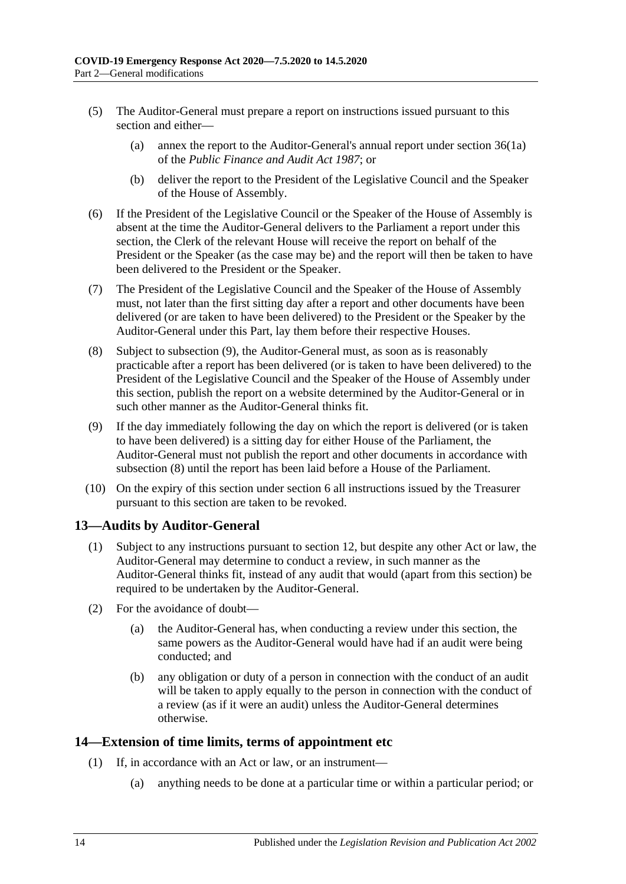- (5) The Auditor-General must prepare a report on instructions issued pursuant to this section and either—
	- (a) annex the report to the Auditor-General's annual report under section 36(1a) of the *[Public Finance and Audit Act](http://www.legislation.sa.gov.au/index.aspx?action=legref&type=act&legtitle=Public%20Finance%20and%20Audit%20Act%201987) 1987*; or
	- (b) deliver the report to the President of the Legislative Council and the Speaker of the House of Assembly.
- (6) If the President of the Legislative Council or the Speaker of the House of Assembly is absent at the time the Auditor-General delivers to the Parliament a report under this section, the Clerk of the relevant House will receive the report on behalf of the President or the Speaker (as the case may be) and the report will then be taken to have been delivered to the President or the Speaker.
- (7) The President of the Legislative Council and the Speaker of the House of Assembly must, not later than the first sitting day after a report and other documents have been delivered (or are taken to have been delivered) to the President or the Speaker by the Auditor-General under this Part, lay them before their respective Houses.
- <span id="page-13-3"></span>(8) Subject to [subsection](#page-13-2) (9), the Auditor-General must, as soon as is reasonably practicable after a report has been delivered (or is taken to have been delivered) to the President of the Legislative Council and the Speaker of the House of Assembly under this section, publish the report on a website determined by the Auditor-General or in such other manner as the Auditor-General thinks fit.
- <span id="page-13-2"></span>(9) If the day immediately following the day on which the report is delivered (or is taken to have been delivered) is a sitting day for either House of the Parliament, the Auditor-General must not publish the report and other documents in accordance with [subsection](#page-13-3) (8) until the report has been laid before a House of the Parliament.
- (10) On the expiry of this section under [section](#page-2-3) 6 all instructions issued by the Treasurer pursuant to this section are taken to be revoked.

## <span id="page-13-0"></span>**13—Audits by Auditor-General**

- (1) Subject to any instructions pursuant to [section](#page-12-0) 12, but despite any other Act or law, the Auditor-General may determine to conduct a review, in such manner as the Auditor-General thinks fit, instead of any audit that would (apart from this section) be required to be undertaken by the Auditor-General.
- (2) For the avoidance of doubt—
	- (a) the Auditor-General has, when conducting a review under this section, the same powers as the Auditor-General would have had if an audit were being conducted; and
	- (b) any obligation or duty of a person in connection with the conduct of an audit will be taken to apply equally to the person in connection with the conduct of a review (as if it were an audit) unless the Auditor-General determines otherwise.

### <span id="page-13-4"></span><span id="page-13-1"></span>**14—Extension of time limits, terms of appointment etc**

- (1) If, in accordance with an Act or law, or an instrument—
	- (a) anything needs to be done at a particular time or within a particular period; or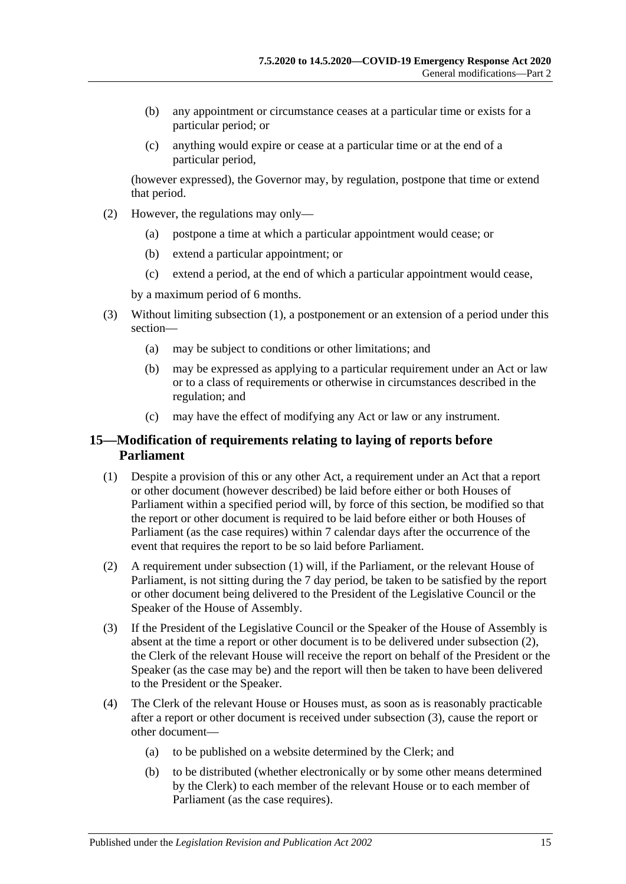- (b) any appointment or circumstance ceases at a particular time or exists for a particular period; or
- (c) anything would expire or cease at a particular time or at the end of a particular period,

(however expressed), the Governor may, by regulation, postpone that time or extend that period.

- (2) However, the regulations may only—
	- (a) postpone a time at which a particular appointment would cease; or
	- (b) extend a particular appointment; or
	- (c) extend a period, at the end of which a particular appointment would cease,

by a maximum period of 6 months.

- (3) Without limiting [subsection](#page-13-4) (1), a postponement or an extension of a period under this section—
	- (a) may be subject to conditions or other limitations; and
	- (b) may be expressed as applying to a particular requirement under an Act or law or to a class of requirements or otherwise in circumstances described in the regulation; and
	- (c) may have the effect of modifying any Act or law or any instrument.

## <span id="page-14-0"></span>**15—Modification of requirements relating to laying of reports before Parliament**

- <span id="page-14-1"></span>(1) Despite a provision of this or any other Act, a requirement under an Act that a report or other document (however described) be laid before either or both Houses of Parliament within a specified period will, by force of this section, be modified so that the report or other document is required to be laid before either or both Houses of Parliament (as the case requires) within 7 calendar days after the occurrence of the event that requires the report to be so laid before Parliament.
- <span id="page-14-2"></span>(2) A requirement under [subsection](#page-14-1) (1) will, if the Parliament, or the relevant House of Parliament, is not sitting during the 7 day period, be taken to be satisfied by the report or other document being delivered to the President of the Legislative Council or the Speaker of the House of Assembly.
- <span id="page-14-3"></span>(3) If the President of the Legislative Council or the Speaker of the House of Assembly is absent at the time a report or other document is to be delivered under [subsection](#page-14-2) (2), the Clerk of the relevant House will receive the report on behalf of the President or the Speaker (as the case may be) and the report will then be taken to have been delivered to the President or the Speaker.
- (4) The Clerk of the relevant House or Houses must, as soon as is reasonably practicable after a report or other document is received under [subsection](#page-14-3) (3), cause the report or other document—
	- (a) to be published on a website determined by the Clerk; and
	- (b) to be distributed (whether electronically or by some other means determined by the Clerk) to each member of the relevant House or to each member of Parliament (as the case requires).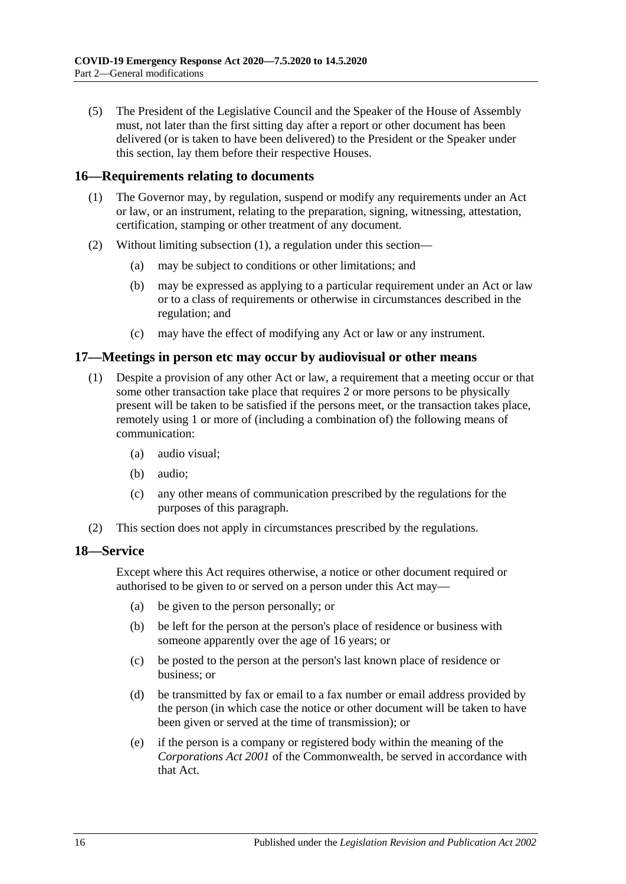(5) The President of the Legislative Council and the Speaker of the House of Assembly must, not later than the first sitting day after a report or other document has been delivered (or is taken to have been delivered) to the President or the Speaker under this section, lay them before their respective Houses.

#### <span id="page-15-3"></span><span id="page-15-0"></span>**16—Requirements relating to documents**

- (1) The Governor may, by regulation, suspend or modify any requirements under an Act or law, or an instrument, relating to the preparation, signing, witnessing, attestation, certification, stamping or other treatment of any document.
- (2) Without limiting [subsection](#page-15-3) (1), a regulation under this section—
	- (a) may be subject to conditions or other limitations; and
	- (b) may be expressed as applying to a particular requirement under an Act or law or to a class of requirements or otherwise in circumstances described in the regulation; and
	- (c) may have the effect of modifying any Act or law or any instrument.

#### <span id="page-15-1"></span>**17—Meetings in person etc may occur by audiovisual or other means**

- (1) Despite a provision of any other Act or law, a requirement that a meeting occur or that some other transaction take place that requires 2 or more persons to be physically present will be taken to be satisfied if the persons meet, or the transaction takes place, remotely using 1 or more of (including a combination of) the following means of communication:
	- (a) audio visual;
	- (b) audio;
	- (c) any other means of communication prescribed by the regulations for the purposes of this paragraph.
- (2) This section does not apply in circumstances prescribed by the regulations.

#### <span id="page-15-2"></span>**18—Service**

Except where this Act requires otherwise, a notice or other document required or authorised to be given to or served on a person under this Act may—

- (a) be given to the person personally; or
- (b) be left for the person at the person's place of residence or business with someone apparently over the age of 16 years; or
- (c) be posted to the person at the person's last known place of residence or business; or
- (d) be transmitted by fax or email to a fax number or email address provided by the person (in which case the notice or other document will be taken to have been given or served at the time of transmission); or
- (e) if the person is a company or registered body within the meaning of the *Corporations Act 2001* of the Commonwealth, be served in accordance with that Act.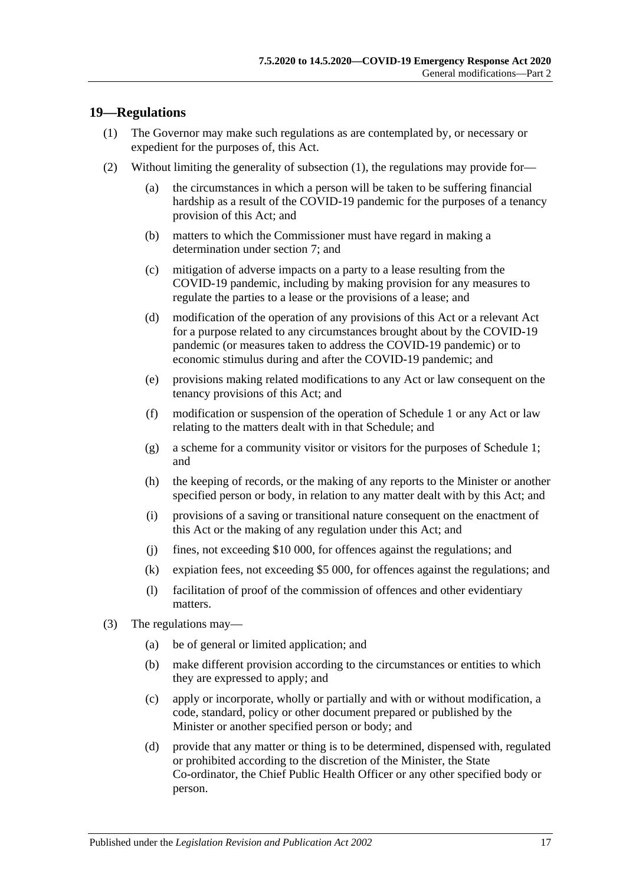### <span id="page-16-1"></span><span id="page-16-0"></span>**19—Regulations**

- (1) The Governor may make such regulations as are contemplated by, or necessary or expedient for the purposes of, this Act.
- (2) Without limiting the generality of [subsection](#page-16-1) (1), the regulations may provide for—
	- (a) the circumstances in which a person will be taken to be suffering financial hardship as a result of the COVID-19 pandemic for the purposes of a tenancy provision of this Act; and
	- (b) matters to which the Commissioner must have regard in making a determination under [section](#page-3-1) 7; and
	- (c) mitigation of adverse impacts on a party to a lease resulting from the COVID-19 pandemic, including by making provision for any measures to regulate the parties to a lease or the provisions of a lease; and
	- (d) modification of the operation of any provisions of this Act or a relevant Act for a purpose related to any circumstances brought about by the COVID-19 pandemic (or measures taken to address the COVID-19 pandemic) or to economic stimulus during and after the COVID-19 pandemic; and
	- (e) provisions making related modifications to any Act or law consequent on the tenancy provisions of this Act; and
	- (f) modification or suspension of the operation of [Schedule](#page-18-3) 1 or any Act or law relating to the matters dealt with in that Schedule; and
	- (g) a scheme for a community visitor or visitors for the purposes of [Schedule](#page-18-3) 1; and
	- (h) the keeping of records, or the making of any reports to the Minister or another specified person or body, in relation to any matter dealt with by this Act; and
	- (i) provisions of a saving or transitional nature consequent on the enactment of this Act or the making of any regulation under this Act; and
	- (j) fines, not exceeding \$10 000, for offences against the regulations; and
	- (k) expiation fees, not exceeding \$5 000, for offences against the regulations; and
	- (l) facilitation of proof of the commission of offences and other evidentiary matters.
- (3) The regulations may—
	- (a) be of general or limited application; and
	- (b) make different provision according to the circumstances or entities to which they are expressed to apply; and
	- (c) apply or incorporate, wholly or partially and with or without modification, a code, standard, policy or other document prepared or published by the Minister or another specified person or body; and
	- (d) provide that any matter or thing is to be determined, dispensed with, regulated or prohibited according to the discretion of the Minister, the State Co-ordinator, the Chief Public Health Officer or any other specified body or person.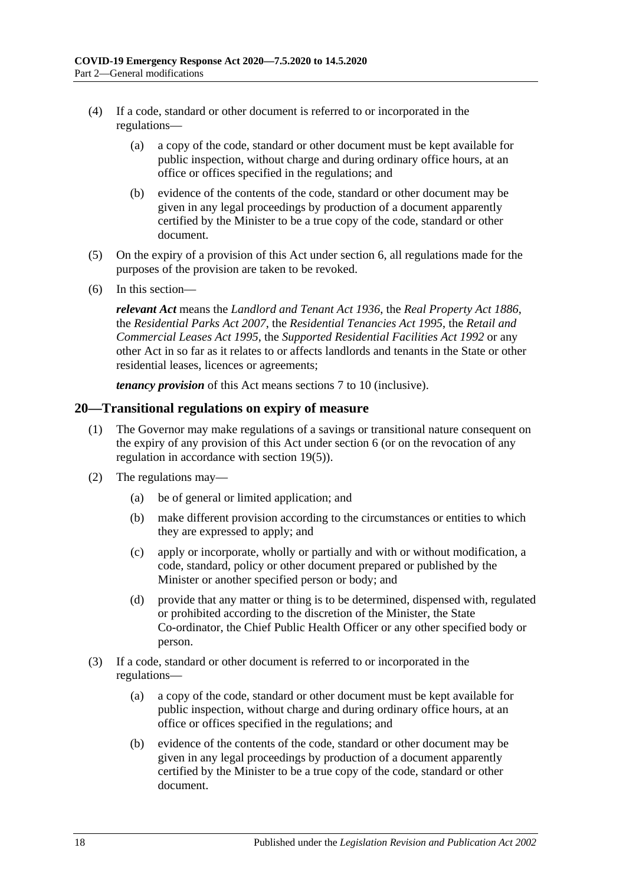- (4) If a code, standard or other document is referred to or incorporated in the regulations—
	- (a) a copy of the code, standard or other document must be kept available for public inspection, without charge and during ordinary office hours, at an office or offices specified in the regulations; and
	- (b) evidence of the contents of the code, standard or other document may be given in any legal proceedings by production of a document apparently certified by the Minister to be a true copy of the code, standard or other document.
- <span id="page-17-1"></span>(5) On the expiry of a provision of this Act under [section](#page-2-3) 6, all regulations made for the purposes of the provision are taken to be revoked.
- (6) In this section—

*relevant Act* means the *[Landlord and Tenant Act](http://www.legislation.sa.gov.au/index.aspx?action=legref&type=act&legtitle=Landlord%20and%20Tenant%20Act%201936) 1936*, the *[Real Property Act](http://www.legislation.sa.gov.au/index.aspx?action=legref&type=act&legtitle=Real%20Property%20Act%201886) 1886*, the *[Residential Parks Act](http://www.legislation.sa.gov.au/index.aspx?action=legref&type=act&legtitle=Residential%20Parks%20Act%202007) 2007*, the *[Residential Tenancies Act](http://www.legislation.sa.gov.au/index.aspx?action=legref&type=act&legtitle=Residential%20Tenancies%20Act%201995) 1995*, the *[Retail and](http://www.legislation.sa.gov.au/index.aspx?action=legref&type=act&legtitle=Retail%20and%20Commercial%20Leases%20Act%201995)  [Commercial Leases Act](http://www.legislation.sa.gov.au/index.aspx?action=legref&type=act&legtitle=Retail%20and%20Commercial%20Leases%20Act%201995) 1995*, the *[Supported Residential Facilities Act](http://www.legislation.sa.gov.au/index.aspx?action=legref&type=act&legtitle=Supported%20Residential%20Facilities%20Act%201992) 1992* or any other Act in so far as it relates to or affects landlords and tenants in the State or other residential leases, licences or agreements;

*tenancy provision* of this Act means [sections](#page-3-1) 7 to [10](#page-10-0) (inclusive).

#### <span id="page-17-0"></span>**20—Transitional regulations on expiry of measure**

- (1) The Governor may make regulations of a savings or transitional nature consequent on the expiry of any provision of this Act under [section](#page-2-3) 6 (or on the revocation of any regulation in accordance with [section](#page-17-1) 19(5)).
- (2) The regulations may—
	- (a) be of general or limited application; and
	- (b) make different provision according to the circumstances or entities to which they are expressed to apply; and
	- (c) apply or incorporate, wholly or partially and with or without modification, a code, standard, policy or other document prepared or published by the Minister or another specified person or body; and
	- (d) provide that any matter or thing is to be determined, dispensed with, regulated or prohibited according to the discretion of the Minister, the State Co-ordinator, the Chief Public Health Officer or any other specified body or person.
- (3) If a code, standard or other document is referred to or incorporated in the regulations—
	- (a) a copy of the code, standard or other document must be kept available for public inspection, without charge and during ordinary office hours, at an office or offices specified in the regulations; and
	- (b) evidence of the contents of the code, standard or other document may be given in any legal proceedings by production of a document apparently certified by the Minister to be a true copy of the code, standard or other document.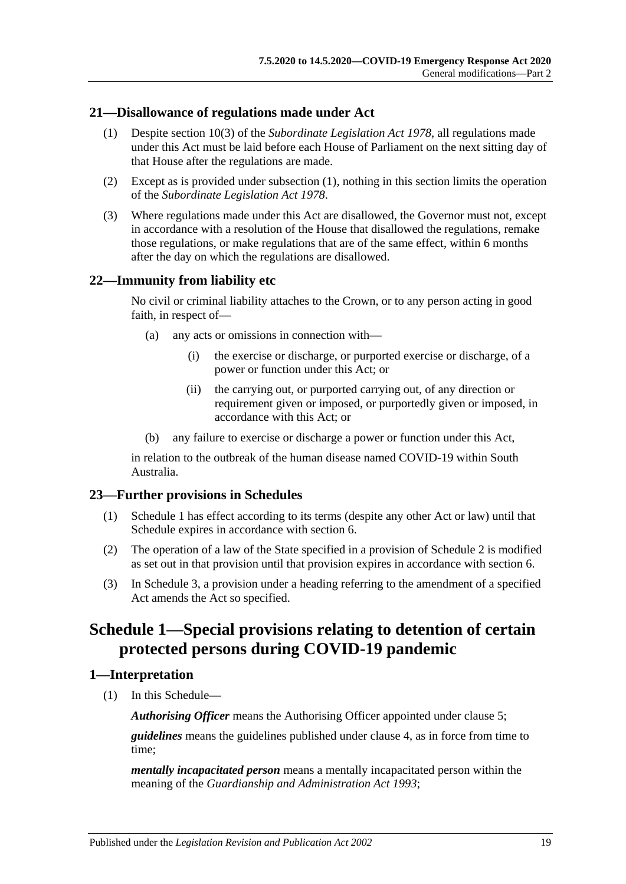#### <span id="page-18-5"></span><span id="page-18-0"></span>**21—Disallowance of regulations made under Act**

- (1) Despite section 10(3) of the *[Subordinate Legislation Act](http://www.legislation.sa.gov.au/index.aspx?action=legref&type=act&legtitle=Subordinate%20Legislation%20Act%201978) 1978*, all regulations made under this Act must be laid before each House of Parliament on the next sitting day of that House after the regulations are made.
- (2) Except as is provided under [subsection](#page-18-5) (1), nothing in this section limits the operation of the *[Subordinate Legislation Act](http://www.legislation.sa.gov.au/index.aspx?action=legref&type=act&legtitle=Subordinate%20Legislation%20Act%201978) 1978*.
- (3) Where regulations made under this Act are disallowed, the Governor must not, except in accordance with a resolution of the House that disallowed the regulations, remake those regulations, or make regulations that are of the same effect, within 6 months after the day on which the regulations are disallowed.

### <span id="page-18-1"></span>**22—Immunity from liability etc**

No civil or criminal liability attaches to the Crown, or to any person acting in good faith, in respect of—

- (a) any acts or omissions in connection with—
	- (i) the exercise or discharge, or purported exercise or discharge, of a power or function under this Act; or
	- (ii) the carrying out, or purported carrying out, of any direction or requirement given or imposed, or purportedly given or imposed, in accordance with this Act; or
- (b) any failure to exercise or discharge a power or function under this Act,

in relation to the outbreak of the human disease named COVID-19 within South Australia.

### <span id="page-18-2"></span>**23—Further provisions in Schedules**

- (1) [Schedule](#page-18-3) 1 has effect according to its terms (despite any other Act or law) until that Schedule expires in accordance with [section](#page-2-3) 6.
- (2) The operation of a law of the State specified in a provision of [Schedule](#page-27-0) 2 is modified as set out in that provision until that provision expires in accordance with [section](#page-2-3) 6.
- (3) In Schedule 3, a provision under a heading referring to the amendment of a specified Act amends the Act so specified.

## <span id="page-18-3"></span>**Schedule 1—Special provisions relating to detention of certain protected persons during COVID-19 pandemic**

### <span id="page-18-4"></span>**1—Interpretation**

(1) In this Schedule—

*Authorising Officer* means the Authorising Officer appointed under [clause](#page-20-2) 5;

*guidelines* means the guidelines published under [clause](#page-20-1) 4, as in force from time to time;

*mentally incapacitated person* means a mentally incapacitated person within the meaning of the *[Guardianship and Administration Act](http://www.legislation.sa.gov.au/index.aspx?action=legref&type=act&legtitle=Guardianship%20and%20Administration%20Act%201993) 1993*;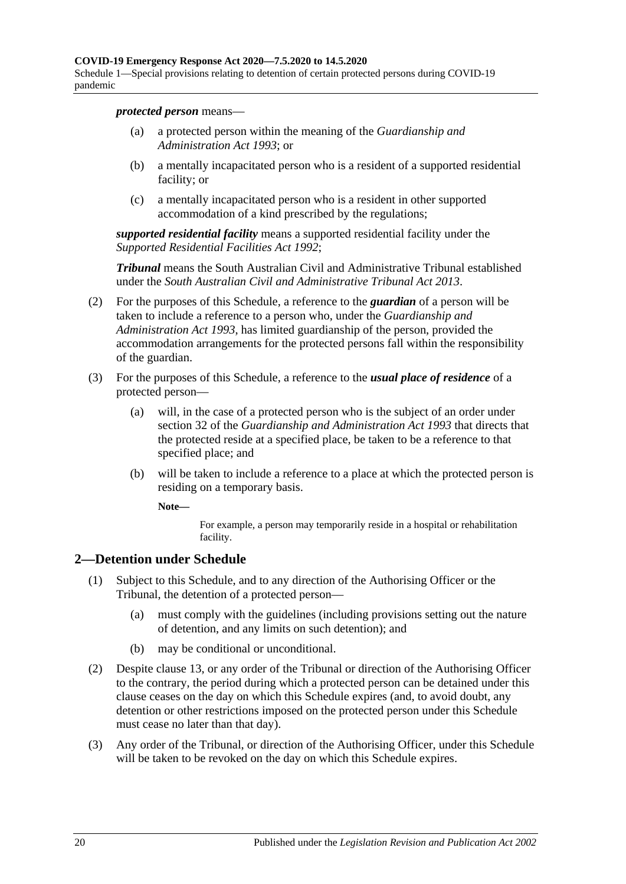Schedule 1—Special provisions relating to detention of certain protected persons during COVID-19 pandemic

*protected person* means—

- (a) a protected person within the meaning of the *[Guardianship and](http://www.legislation.sa.gov.au/index.aspx?action=legref&type=act&legtitle=Guardianship%20and%20Administration%20Act%201993)  [Administration Act](http://www.legislation.sa.gov.au/index.aspx?action=legref&type=act&legtitle=Guardianship%20and%20Administration%20Act%201993) 1993*; or
- (b) a mentally incapacitated person who is a resident of a supported residential facility; or
- (c) a mentally incapacitated person who is a resident in other supported accommodation of a kind prescribed by the regulations;

*supported residential facility* means a supported residential facility under the *[Supported Residential Facilities Act](http://www.legislation.sa.gov.au/index.aspx?action=legref&type=act&legtitle=Supported%20Residential%20Facilities%20Act%201992) 1992*;

*Tribunal* means the South Australian Civil and Administrative Tribunal established under the *[South Australian Civil and Administrative Tribunal Act](http://www.legislation.sa.gov.au/index.aspx?action=legref&type=act&legtitle=South%20Australian%20Civil%20and%20Administrative%20Tribunal%20Act%202013) 2013*.

- (2) For the purposes of this Schedule, a reference to the *guardian* of a person will be taken to include a reference to a person who, under the *[Guardianship and](http://www.legislation.sa.gov.au/index.aspx?action=legref&type=act&legtitle=Guardianship%20and%20Administration%20Act%201993)  [Administration Act](http://www.legislation.sa.gov.au/index.aspx?action=legref&type=act&legtitle=Guardianship%20and%20Administration%20Act%201993) 1993*, has limited guardianship of the person, provided the accommodation arrangements for the protected persons fall within the responsibility of the guardian.
- (3) For the purposes of this Schedule, a reference to the *usual place of residence* of a protected person—
	- (a) will, in the case of a protected person who is the subject of an order under section 32 of the *[Guardianship and Administration Act](http://www.legislation.sa.gov.au/index.aspx?action=legref&type=act&legtitle=Guardianship%20and%20Administration%20Act%201993) 1993* that directs that the protected reside at a specified place, be taken to be a reference to that specified place; and
	- (b) will be taken to include a reference to a place at which the protected person is residing on a temporary basis.

**Note—**

For example, a person may temporarily reside in a hospital or rehabilitation facility.

### <span id="page-19-0"></span>**2—Detention under Schedule**

- (1) Subject to this Schedule, and to any direction of the Authorising Officer or the Tribunal, the detention of a protected person—
	- (a) must comply with the guidelines (including provisions setting out the nature of detention, and any limits on such detention); and
	- (b) may be conditional or unconditional.
- (2) Despite [clause](#page-24-1) 13, or any order of the Tribunal or direction of the Authorising Officer to the contrary, the period during which a protected person can be detained under this clause ceases on the day on which this Schedule expires (and, to avoid doubt, any detention or other restrictions imposed on the protected person under this Schedule must cease no later than that day).
- (3) Any order of the Tribunal, or direction of the Authorising Officer, under this Schedule will be taken to be revoked on the day on which this Schedule expires.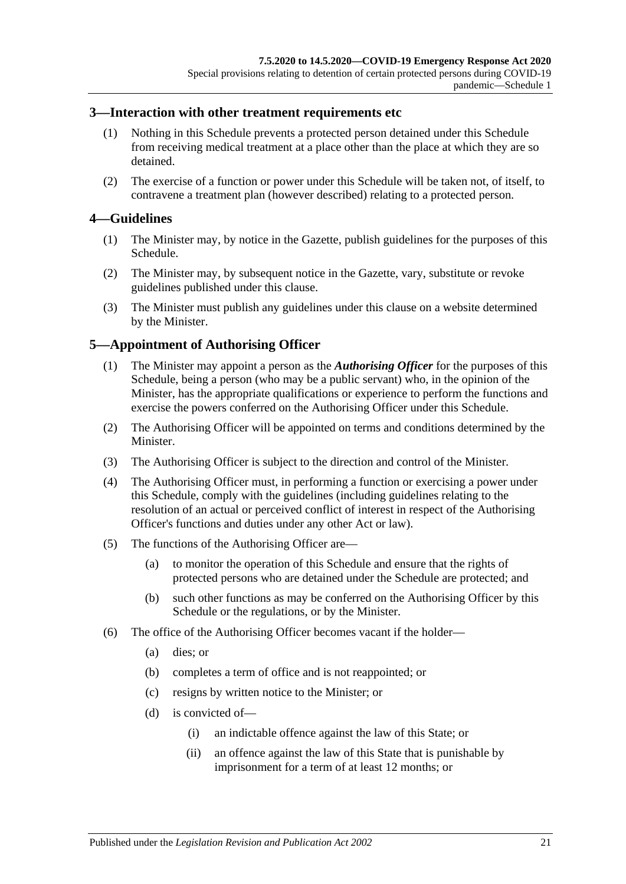#### <span id="page-20-0"></span>**3—Interaction with other treatment requirements etc**

- (1) Nothing in this Schedule prevents a protected person detained under this Schedule from receiving medical treatment at a place other than the place at which they are so detained.
- (2) The exercise of a function or power under this Schedule will be taken not, of itself, to contravene a treatment plan (however described) relating to a protected person.

#### <span id="page-20-1"></span>**4—Guidelines**

- (1) The Minister may, by notice in the Gazette, publish guidelines for the purposes of this Schedule.
- (2) The Minister may, by subsequent notice in the Gazette, vary, substitute or revoke guidelines published under this clause.
- (3) The Minister must publish any guidelines under this clause on a website determined by the Minister.

### <span id="page-20-2"></span>**5—Appointment of Authorising Officer**

- (1) The Minister may appoint a person as the *Authorising Officer* for the purposes of this Schedule, being a person (who may be a public servant) who, in the opinion of the Minister, has the appropriate qualifications or experience to perform the functions and exercise the powers conferred on the Authorising Officer under this Schedule.
- (2) The Authorising Officer will be appointed on terms and conditions determined by the Minister.
- (3) The Authorising Officer is subject to the direction and control of the Minister.
- (4) The Authorising Officer must, in performing a function or exercising a power under this Schedule, comply with the guidelines (including guidelines relating to the resolution of an actual or perceived conflict of interest in respect of the Authorising Officer's functions and duties under any other Act or law).
- (5) The functions of the Authorising Officer are—
	- (a) to monitor the operation of this Schedule and ensure that the rights of protected persons who are detained under the Schedule are protected; and
	- (b) such other functions as may be conferred on the Authorising Officer by this Schedule or the regulations, or by the Minister.
- (6) The office of the Authorising Officer becomes vacant if the holder—
	- (a) dies; or
	- (b) completes a term of office and is not reappointed; or
	- (c) resigns by written notice to the Minister; or
	- (d) is convicted of—
		- (i) an indictable offence against the law of this State; or
		- (ii) an offence against the law of this State that is punishable by imprisonment for a term of at least 12 months; or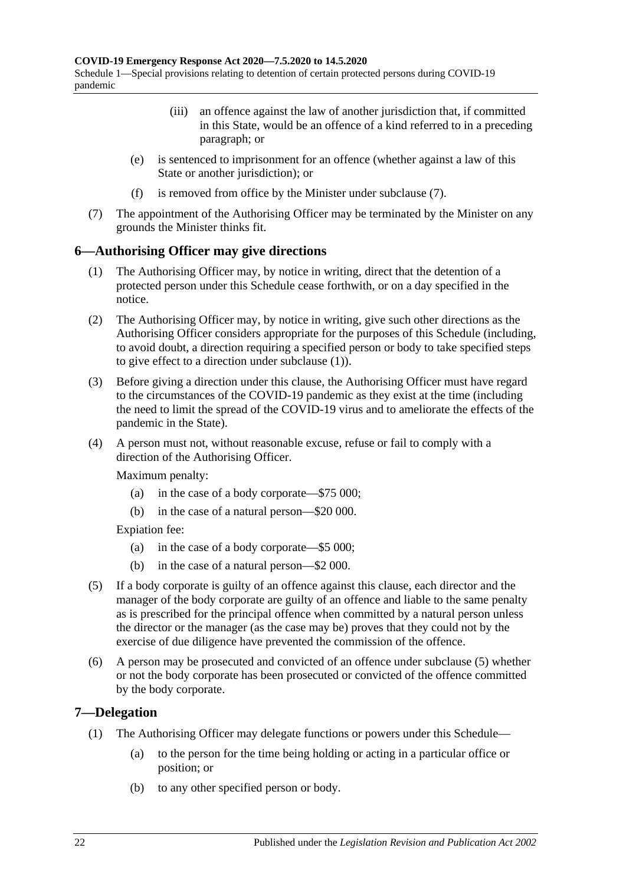- (iii) an offence against the law of another jurisdiction that, if committed in this State, would be an offence of a kind referred to in a preceding paragraph; or
- (e) is sentenced to imprisonment for an offence (whether against a law of this State or another jurisdiction); or
- (f) is removed from office by the Minister under [subclause](#page-21-2) (7).
- <span id="page-21-2"></span>(7) The appointment of the Authorising Officer may be terminated by the Minister on any grounds the Minister thinks fit.

## <span id="page-21-3"></span><span id="page-21-0"></span>**6—Authorising Officer may give directions**

- (1) The Authorising Officer may, by notice in writing, direct that the detention of a protected person under this Schedule cease forthwith, or on a day specified in the notice.
- (2) The Authorising Officer may, by notice in writing, give such other directions as the Authorising Officer considers appropriate for the purposes of this Schedule (including, to avoid doubt, a direction requiring a specified person or body to take specified steps to give effect to a direction under [subclause](#page-21-3) (1)).
- (3) Before giving a direction under this clause, the Authorising Officer must have regard to the circumstances of the COVID-19 pandemic as they exist at the time (including the need to limit the spread of the COVID-19 virus and to ameliorate the effects of the pandemic in the State).
- (4) A person must not, without reasonable excuse, refuse or fail to comply with a direction of the Authorising Officer.

Maximum penalty:

- (a) in the case of a body corporate—\$75 000;
- (b) in the case of a natural person—\$20 000.

Expiation fee:

- (a) in the case of a body corporate—\$5 000;
- (b) in the case of a natural person—\$2 000.
- <span id="page-21-4"></span>(5) If a body corporate is guilty of an offence against this clause, each director and the manager of the body corporate are guilty of an offence and liable to the same penalty as is prescribed for the principal offence when committed by a natural person unless the director or the manager (as the case may be) proves that they could not by the exercise of due diligence have prevented the commission of the offence.
- (6) A person may be prosecuted and convicted of an offence under [subclause](#page-21-4) (5) whether or not the body corporate has been prosecuted or convicted of the offence committed by the body corporate.

### <span id="page-21-1"></span>**7—Delegation**

- (1) The Authorising Officer may delegate functions or powers under this Schedule—
	- (a) to the person for the time being holding or acting in a particular office or position; or
	- (b) to any other specified person or body.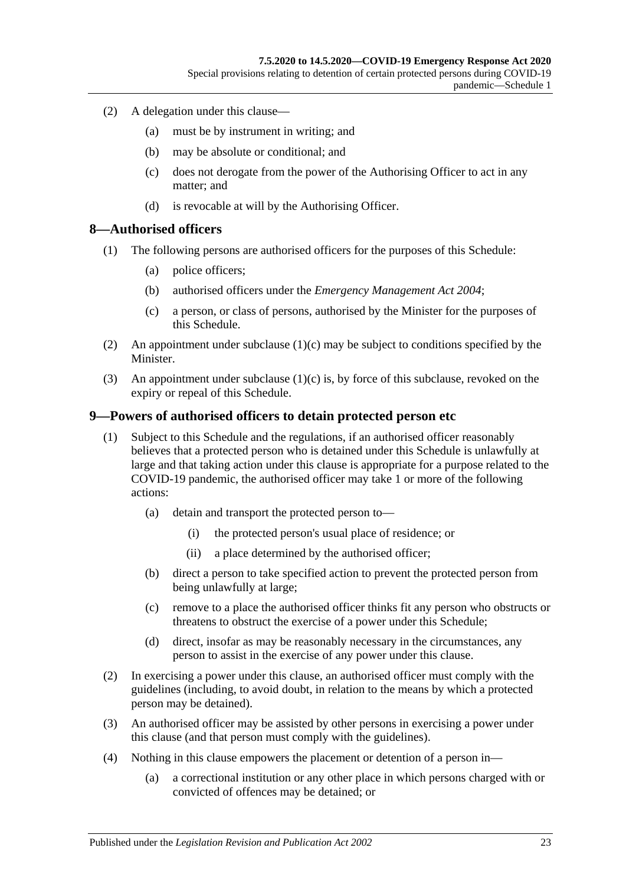- (2) A delegation under this clause—
	- (a) must be by instrument in writing; and
	- (b) may be absolute or conditional; and
	- (c) does not derogate from the power of the Authorising Officer to act in any matter; and
	- (d) is revocable at will by the Authorising Officer.

#### <span id="page-22-0"></span>**8—Authorised officers**

- (1) The following persons are authorised officers for the purposes of this Schedule:
	- (a) police officers;
	- (b) authorised officers under the *[Emergency Management Act](http://www.legislation.sa.gov.au/index.aspx?action=legref&type=act&legtitle=Emergency%20Management%20Act%202004) 2004*;
	- (c) a person, or class of persons, authorised by the Minister for the purposes of this Schedule.
- <span id="page-22-2"></span>(2) An appointment under [subclause](#page-22-2)  $(1)(c)$  may be subject to conditions specified by the Minister.
- (3) An appointment under [subclause](#page-22-2) (1)(c) is, by force of this subclause, revoked on the expiry or repeal of this Schedule.

#### <span id="page-22-1"></span>**9—Powers of authorised officers to detain protected person etc**

- (1) Subject to this Schedule and the regulations, if an authorised officer reasonably believes that a protected person who is detained under this Schedule is unlawfully at large and that taking action under this clause is appropriate for a purpose related to the COVID-19 pandemic, the authorised officer may take 1 or more of the following actions:
	- (a) detain and transport the protected person to—
		- (i) the protected person's usual place of residence; or
		- (ii) a place determined by the authorised officer;
	- (b) direct a person to take specified action to prevent the protected person from being unlawfully at large;
	- (c) remove to a place the authorised officer thinks fit any person who obstructs or threatens to obstruct the exercise of a power under this Schedule;
	- (d) direct, insofar as may be reasonably necessary in the circumstances, any person to assist in the exercise of any power under this clause.
- (2) In exercising a power under this clause, an authorised officer must comply with the guidelines (including, to avoid doubt, in relation to the means by which a protected person may be detained).
- (3) An authorised officer may be assisted by other persons in exercising a power under this clause (and that person must comply with the guidelines).
- (4) Nothing in this clause empowers the placement or detention of a person in—
	- (a) a correctional institution or any other place in which persons charged with or convicted of offences may be detained; or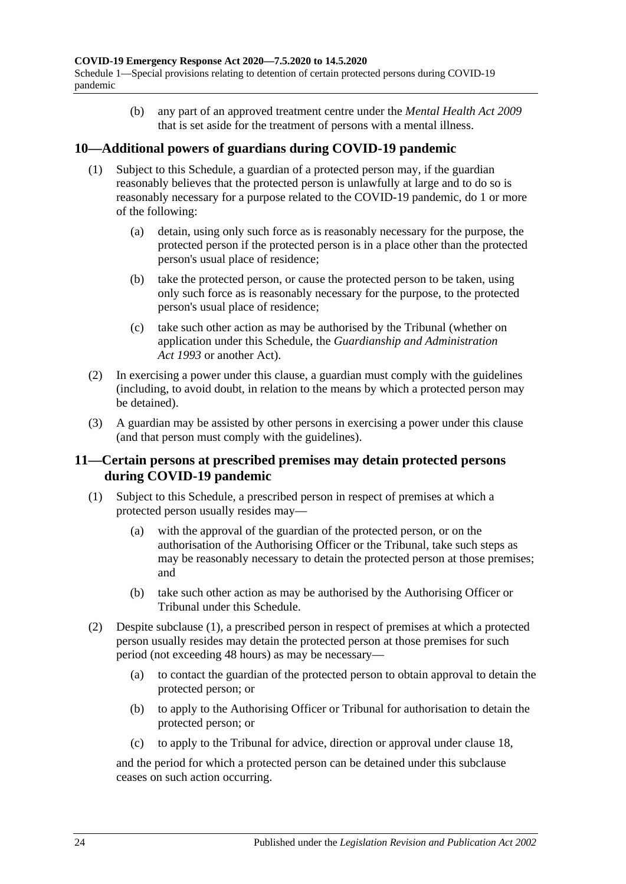Schedule 1—Special provisions relating to detention of certain protected persons during COVID-19 pandemic

> (b) any part of an approved treatment centre under the *[Mental Health Act](http://www.legislation.sa.gov.au/index.aspx?action=legref&type=act&legtitle=Mental%20Health%20Act%202009) 2009* that is set aside for the treatment of persons with a mental illness.

## <span id="page-23-0"></span>**10—Additional powers of guardians during COVID-19 pandemic**

- (1) Subject to this Schedule, a guardian of a protected person may, if the guardian reasonably believes that the protected person is unlawfully at large and to do so is reasonably necessary for a purpose related to the COVID-19 pandemic, do 1 or more of the following:
	- (a) detain, using only such force as is reasonably necessary for the purpose, the protected person if the protected person is in a place other than the protected person's usual place of residence;
	- (b) take the protected person, or cause the protected person to be taken, using only such force as is reasonably necessary for the purpose, to the protected person's usual place of residence;
	- (c) take such other action as may be authorised by the Tribunal (whether on application under this Schedule, the *[Guardianship and Administration](http://www.legislation.sa.gov.au/index.aspx?action=legref&type=act&legtitle=Guardianship%20and%20Administration%20Act%201993)  Act [1993](http://www.legislation.sa.gov.au/index.aspx?action=legref&type=act&legtitle=Guardianship%20and%20Administration%20Act%201993)* or another Act).
- (2) In exercising a power under this clause, a guardian must comply with the guidelines (including, to avoid doubt, in relation to the means by which a protected person may be detained).
- (3) A guardian may be assisted by other persons in exercising a power under this clause (and that person must comply with the guidelines).

### <span id="page-23-1"></span>**11—Certain persons at prescribed premises may detain protected persons during COVID-19 pandemic**

- <span id="page-23-3"></span><span id="page-23-2"></span>(1) Subject to this Schedule, a prescribed person in respect of premises at which a protected person usually resides may—
	- (a) with the approval of the guardian of the protected person, or on the authorisation of the Authorising Officer or the Tribunal, take such steps as may be reasonably necessary to detain the protected person at those premises; and
	- (b) take such other action as may be authorised by the Authorising Officer or Tribunal under this Schedule.
- (2) Despite [subclause](#page-23-2) (1), a prescribed person in respect of premises at which a protected person usually resides may detain the protected person at those premises for such period (not exceeding 48 hours) as may be necessary—
	- (a) to contact the guardian of the protected person to obtain approval to detain the protected person; or
	- (b) to apply to the Authorising Officer or Tribunal for authorisation to detain the protected person; or
	- (c) to apply to the Tribunal for advice, direction or approval under [clause](#page-26-1) 18,

and the period for which a protected person can be detained under this subclause ceases on such action occurring.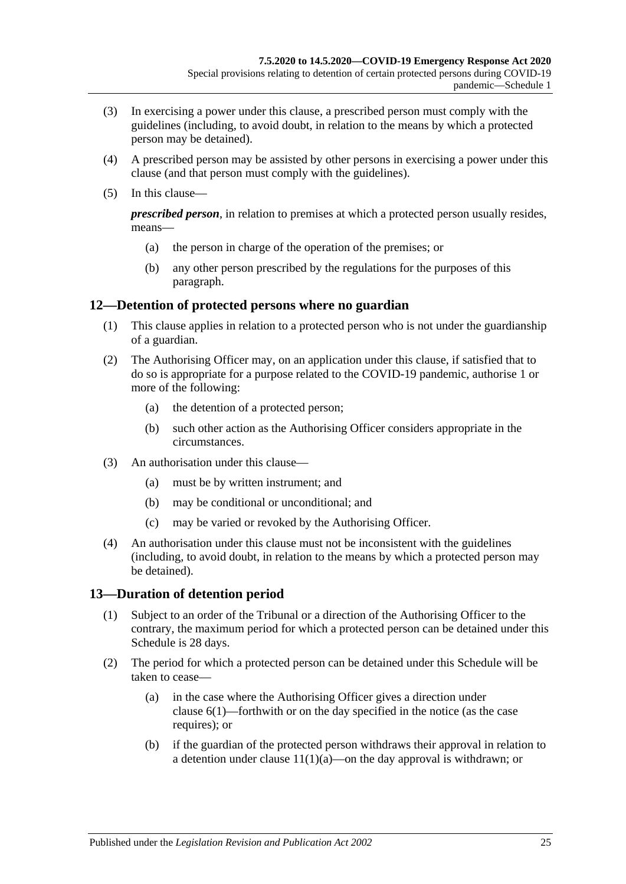- (3) In exercising a power under this clause, a prescribed person must comply with the guidelines (including, to avoid doubt, in relation to the means by which a protected person may be detained).
- (4) A prescribed person may be assisted by other persons in exercising a power under this clause (and that person must comply with the guidelines).
- (5) In this clause—

*prescribed person*, in relation to premises at which a protected person usually resides, means—

- (a) the person in charge of the operation of the premises; or
- (b) any other person prescribed by the regulations for the purposes of this paragraph.

### <span id="page-24-0"></span>**12—Detention of protected persons where no guardian**

- (1) This clause applies in relation to a protected person who is not under the guardianship of a guardian.
- (2) The Authorising Officer may, on an application under this clause, if satisfied that to do so is appropriate for a purpose related to the COVID-19 pandemic, authorise 1 or more of the following:
	- (a) the detention of a protected person;
	- (b) such other action as the Authorising Officer considers appropriate in the circumstances.
- (3) An authorisation under this clause—
	- (a) must be by written instrument; and
	- (b) may be conditional or unconditional; and
	- (c) may be varied or revoked by the Authorising Officer.
- (4) An authorisation under this clause must not be inconsistent with the guidelines (including, to avoid doubt, in relation to the means by which a protected person may be detained).

### <span id="page-24-1"></span>**13—Duration of detention period**

- (1) Subject to an order of the Tribunal or a direction of the Authorising Officer to the contrary, the maximum period for which a protected person can be detained under this Schedule is 28 days.
- (2) The period for which a protected person can be detained under this Schedule will be taken to cease—
	- (a) in the case where the Authorising Officer gives a direction under [clause](#page-21-3) 6(1)—forthwith or on the day specified in the notice (as the case requires); or
	- (b) if the guardian of the protected person withdraws their approval in relation to a detention under clause  $11(1)(a)$ —on the day approval is withdrawn; or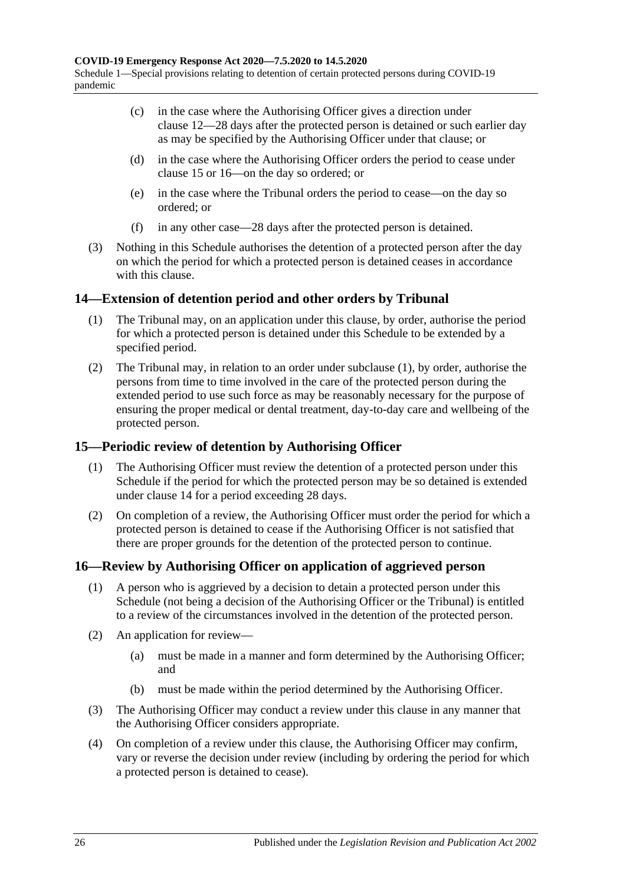- (c) in the case where the Authorising Officer gives a direction under [clause](#page-24-0) 12—28 days after the protected person is detained or such earlier day as may be specified by the Authorising Officer under that clause; or
- (d) in the case where the Authorising Officer orders the period to cease under [clause](#page-25-1) 15 or [16—](#page-25-2)on the day so ordered; or
- (e) in the case where the Tribunal orders the period to cease—on the day so ordered; or
- (f) in any other case—28 days after the protected person is detained.
- (3) Nothing in this Schedule authorises the detention of a protected person after the day on which the period for which a protected person is detained ceases in accordance with this clause.

## <span id="page-25-3"></span><span id="page-25-0"></span>**14—Extension of detention period and other orders by Tribunal**

- (1) The Tribunal may, on an application under this clause, by order, authorise the period for which a protected person is detained under this Schedule to be extended by a specified period.
- (2) The Tribunal may, in relation to an order under [subclause](#page-25-3) (1), by order, authorise the persons from time to time involved in the care of the protected person during the extended period to use such force as may be reasonably necessary for the purpose of ensuring the proper medical or dental treatment, day-to-day care and wellbeing of the protected person.

## <span id="page-25-1"></span>**15—Periodic review of detention by Authorising Officer**

- (1) The Authorising Officer must review the detention of a protected person under this Schedule if the period for which the protected person may be so detained is extended under [clause](#page-25-0) 14 for a period exceeding 28 days.
- (2) On completion of a review, the Authorising Officer must order the period for which a protected person is detained to cease if the Authorising Officer is not satisfied that there are proper grounds for the detention of the protected person to continue.

## <span id="page-25-2"></span>**16—Review by Authorising Officer on application of aggrieved person**

- (1) A person who is aggrieved by a decision to detain a protected person under this Schedule (not being a decision of the Authorising Officer or the Tribunal) is entitled to a review of the circumstances involved in the detention of the protected person.
- (2) An application for review—
	- (a) must be made in a manner and form determined by the Authorising Officer; and
	- (b) must be made within the period determined by the Authorising Officer.
- (3) The Authorising Officer may conduct a review under this clause in any manner that the Authorising Officer considers appropriate.
- (4) On completion of a review under this clause, the Authorising Officer may confirm, vary or reverse the decision under review (including by ordering the period for which a protected person is detained to cease).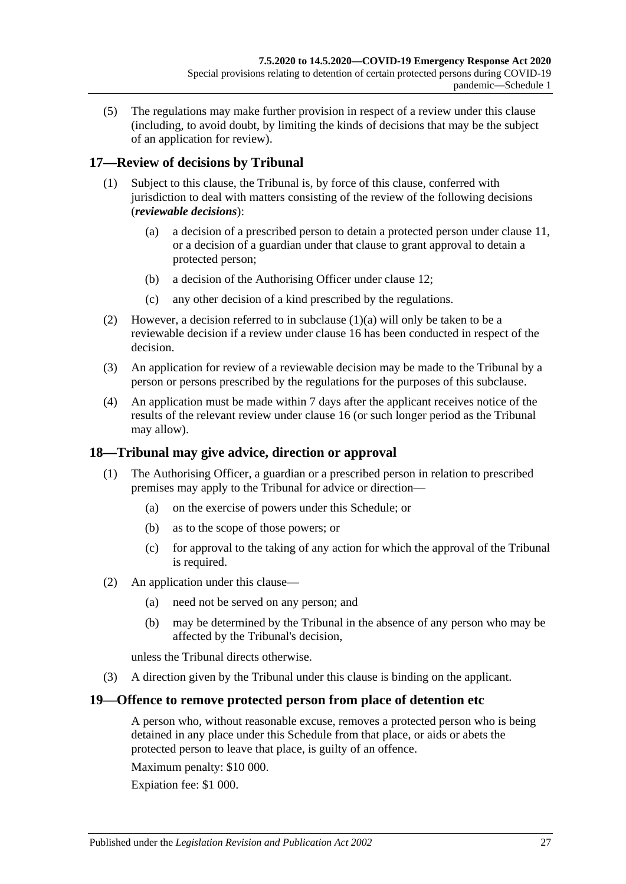(5) The regulations may make further provision in respect of a review under this clause (including, to avoid doubt, by limiting the kinds of decisions that may be the subject of an application for review).

## <span id="page-26-0"></span>**17—Review of decisions by Tribunal**

- <span id="page-26-3"></span>(1) Subject to this clause, the Tribunal is, by force of this clause, conferred with jurisdiction to deal with matters consisting of the review of the following decisions (*reviewable decisions*):
	- (a) a decision of a prescribed person to detain a protected person under [clause](#page-23-1) 11, or a decision of a guardian under that clause to grant approval to detain a protected person;
	- (b) a decision of the Authorising Officer under [clause](#page-24-0) 12;
	- (c) any other decision of a kind prescribed by the regulations.
- (2) However, a decision referred to in [subclause](#page-26-3) (1)(a) will only be taken to be a reviewable decision if a review under [clause](#page-25-2) 16 has been conducted in respect of the decision.
- (3) An application for review of a reviewable decision may be made to the Tribunal by a person or persons prescribed by the regulations for the purposes of this subclause.
- (4) An application must be made within 7 days after the applicant receives notice of the results of the relevant review under [clause](#page-25-2) 16 (or such longer period as the Tribunal may allow).

### <span id="page-26-1"></span>**18—Tribunal may give advice, direction or approval**

- (1) The Authorising Officer, a guardian or a prescribed person in relation to prescribed premises may apply to the Tribunal for advice or direction—
	- (a) on the exercise of powers under this Schedule; or
	- (b) as to the scope of those powers; or
	- (c) for approval to the taking of any action for which the approval of the Tribunal is required.
- (2) An application under this clause—
	- (a) need not be served on any person; and
	- (b) may be determined by the Tribunal in the absence of any person who may be affected by the Tribunal's decision,

unless the Tribunal directs otherwise.

(3) A direction given by the Tribunal under this clause is binding on the applicant.

### <span id="page-26-2"></span>**19—Offence to remove protected person from place of detention etc**

A person who, without reasonable excuse, removes a protected person who is being detained in any place under this Schedule from that place, or aids or abets the protected person to leave that place, is guilty of an offence.

Maximum penalty: \$10 000.

Expiation fee: \$1 000.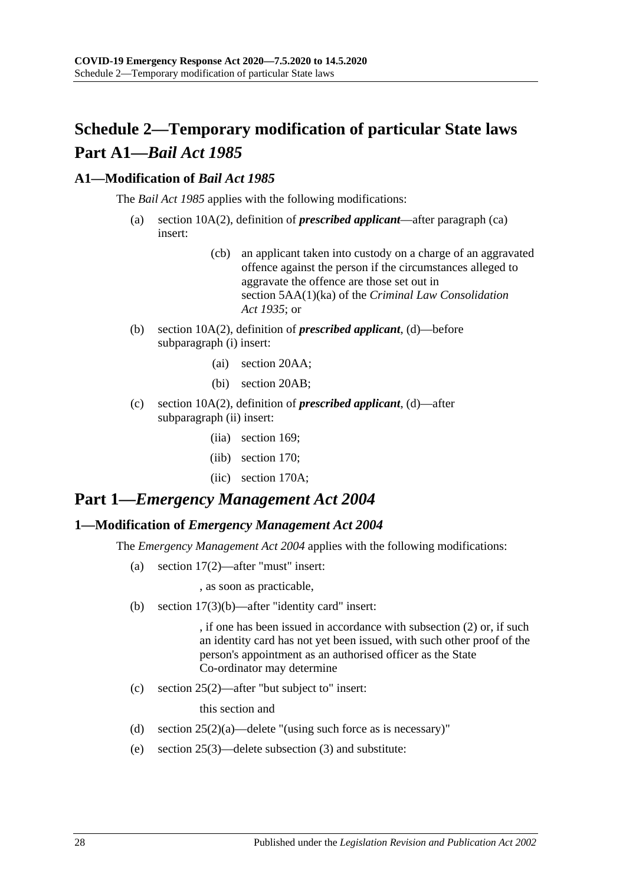## <span id="page-27-0"></span>**Schedule 2—Temporary modification of particular State laws Part A1—***Bail Act 1985*

## <span id="page-27-1"></span>**A1—Modification of** *Bail Act 1985*

The *[Bail Act](http://www.legislation.sa.gov.au/index.aspx?action=legref&type=act&legtitle=Bail%20Act%201985) 1985* applies with the following modifications:

- (a) section 10A(2), definition of *prescribed applicant*—after paragraph (ca) insert:
	- (cb) an applicant taken into custody on a charge of an aggravated offence against the person if the circumstances alleged to aggravate the offence are those set out in section 5AA(1)(ka) of the *[Criminal Law Consolidation](http://www.legislation.sa.gov.au/index.aspx?action=legref&type=act&legtitle=Criminal%20Law%20Consolidation%20Act%201935)  Act [1935](http://www.legislation.sa.gov.au/index.aspx?action=legref&type=act&legtitle=Criminal%20Law%20Consolidation%20Act%201935)*; or
- (b) section 10A(2), definition of *prescribed applicant*, (d)—before subparagraph (i) insert:
	- (ai) section 20AA;
	- (bi) section 20AB;
- (c) section 10A(2), definition of *prescribed applicant*, (d)—after subparagraph (ii) insert:
	- (iia) section 169;
	- (iib) section 170;
	- (iic) section 170A;

## **Part 1—***Emergency Management Act 2004*

### <span id="page-27-2"></span>**1—Modification of** *Emergency Management Act 2004*

The *[Emergency Management Act](http://www.legislation.sa.gov.au/index.aspx?action=legref&type=act&legtitle=Emergency%20Management%20Act%202004) 2004* applies with the following modifications:

(a) section 17(2)—after "must" insert:

, as soon as practicable,

(b) section 17(3)(b)—after "identity card" insert:

, if one has been issued in accordance with subsection (2) or, if such an identity card has not yet been issued, with such other proof of the person's appointment as an authorised officer as the State Co-ordinator may determine

(c) section 25(2)—after "but subject to" insert:

this section and

- (d) section  $25(2)(a)$ —delete "(using such force as is necessary)"
- (e) section 25(3)—delete subsection (3) and substitute: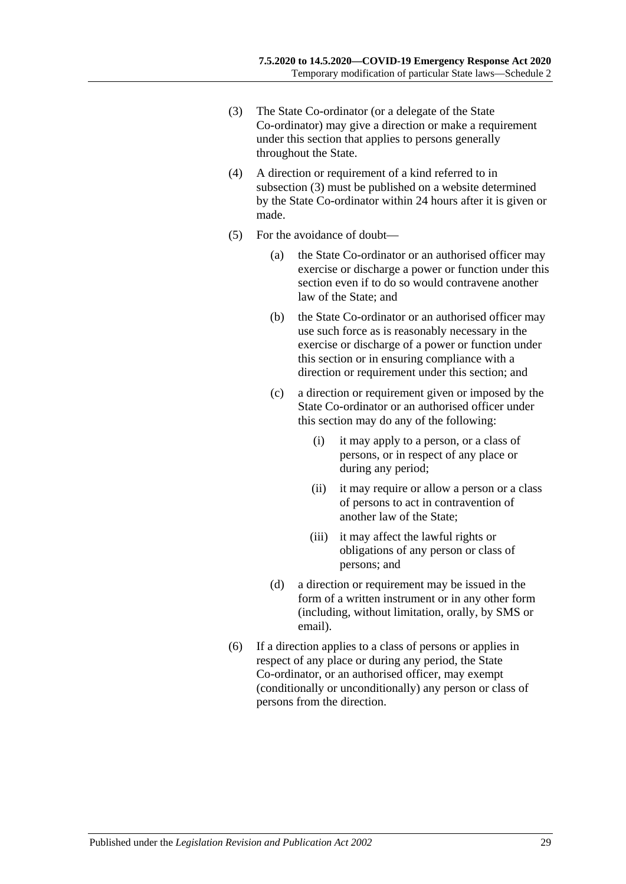- <span id="page-28-0"></span>(3) The State Co-ordinator (or a delegate of the State Co-ordinator) may give a direction or make a requirement under this section that applies to persons generally throughout the State.
- (4) A direction or requirement of a kind referred to in [subsection](#page-28-0) (3) must be published on a website determined by the State Co-ordinator within 24 hours after it is given or made.
- (5) For the avoidance of doubt—
	- (a) the State Co-ordinator or an authorised officer may exercise or discharge a power or function under this section even if to do so would contravene another law of the State; and
	- (b) the State Co-ordinator or an authorised officer may use such force as is reasonably necessary in the exercise or discharge of a power or function under this section or in ensuring compliance with a direction or requirement under this section; and
	- (c) a direction or requirement given or imposed by the State Co-ordinator or an authorised officer under this section may do any of the following:
		- (i) it may apply to a person, or a class of persons, or in respect of any place or during any period;
		- (ii) it may require or allow a person or a class of persons to act in contravention of another law of the State;
		- (iii) it may affect the lawful rights or obligations of any person or class of persons; and
	- (d) a direction or requirement may be issued in the form of a written instrument or in any other form (including, without limitation, orally, by SMS or email).
- (6) If a direction applies to a class of persons or applies in respect of any place or during any period, the State Co-ordinator, or an authorised officer, may exempt (conditionally or unconditionally) any person or class of persons from the direction.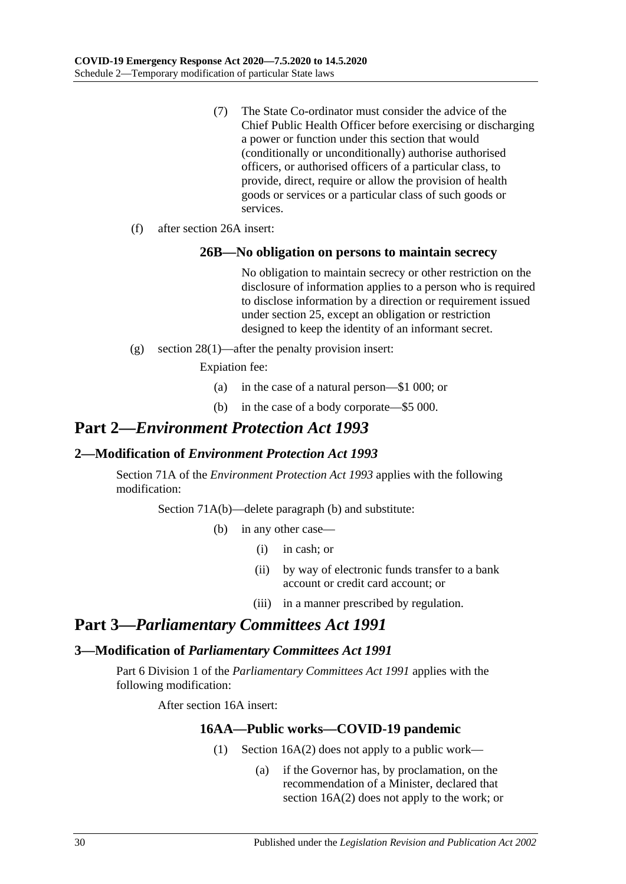- (7) The State Co-ordinator must consider the advice of the Chief Public Health Officer before exercising or discharging a power or function under this section that would (conditionally or unconditionally) authorise authorised officers, or authorised officers of a particular class, to provide, direct, require or allow the provision of health goods or services or a particular class of such goods or services.
- (f) after section 26A insert:

#### **26B—No obligation on persons to maintain secrecy**

No obligation to maintain secrecy or other restriction on the disclosure of information applies to a person who is required to disclose information by a direction or requirement issued under section 25, except an obligation or restriction designed to keep the identity of an informant secret.

(g) section 28(1)—after the penalty provision insert:

Expiation fee:

- (a) in the case of a natural person—\$1 000; or
- (b) in the case of a body corporate—\$5 000.

## **Part 2—***Environment Protection Act 1993*

### <span id="page-29-0"></span>**2—Modification of** *Environment Protection Act 1993*

Section 71A of the *[Environment Protection Act](http://www.legislation.sa.gov.au/index.aspx?action=legref&type=act&legtitle=Environment%20Protection%20Act%201993) 1993* applies with the following modification:

Section 71A(b)—delete paragraph (b) and substitute:

- (b) in any other case—
	- (i) in cash; or
	- (ii) by way of electronic funds transfer to a bank account or credit card account; or
	- (iii) in a manner prescribed by regulation.

## **Part 3—***Parliamentary Committees Act 1991*

### <span id="page-29-1"></span>**3—Modification of** *Parliamentary Committees Act 1991*

<span id="page-29-2"></span>Part 6 Division 1 of the *[Parliamentary Committees Act](http://www.legislation.sa.gov.au/index.aspx?action=legref&type=act&legtitle=Parliamentary%20Committees%20Act%201991) 1991* applies with the following modification:

After section 16A insert:

### **16AA—Public works—COVID-19 pandemic**

- (1) Section 16A(2) does not apply to a public work—
	- (a) if the Governor has, by proclamation, on the recommendation of a Minister, declared that section 16A(2) does not apply to the work; or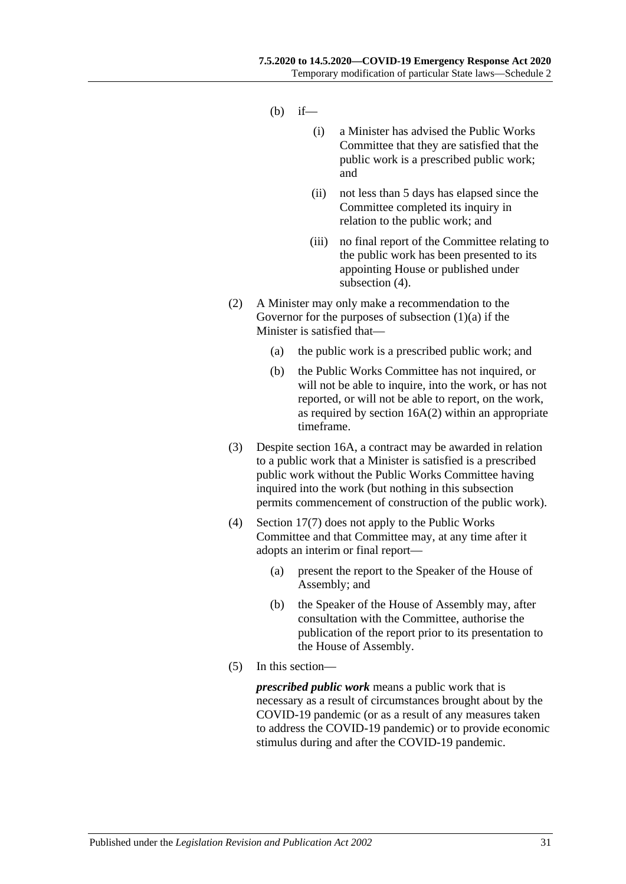- $(h)$  if—
	- (i) a Minister has advised the Public Works Committee that they are satisfied that the public work is a prescribed public work; and
	- (ii) not less than 5 days has elapsed since the Committee completed its inquiry in relation to the public work; and
	- (iii) no final report of the Committee relating to the public work has been presented to its appointing House or published under [subsection](#page-30-0) (4).
- (2) A Minister may only make a recommendation to the Governor for the purposes of [subsection](#page-29-2)  $(1)(a)$  if the Minister is satisfied that—
	- (a) the public work is a prescribed public work; and
	- (b) the Public Works Committee has not inquired, or will not be able to inquire, into the work, or has not reported, or will not be able to report, on the work, as required by section 16A(2) within an appropriate timeframe.
- (3) Despite section 16A, a contract may be awarded in relation to a public work that a Minister is satisfied is a prescribed public work without the Public Works Committee having inquired into the work (but nothing in this subsection permits commencement of construction of the public work).
- <span id="page-30-0"></span>(4) Section 17(7) does not apply to the Public Works Committee and that Committee may, at any time after it adopts an interim or final report—
	- (a) present the report to the Speaker of the House of Assembly; and
	- (b) the Speaker of the House of Assembly may, after consultation with the Committee, authorise the publication of the report prior to its presentation to the House of Assembly.
- (5) In this section—

*prescribed public work* means a public work that is necessary as a result of circumstances brought about by the COVID-19 pandemic (or as a result of any measures taken to address the COVID-19 pandemic) or to provide economic stimulus during and after the COVID-19 pandemic.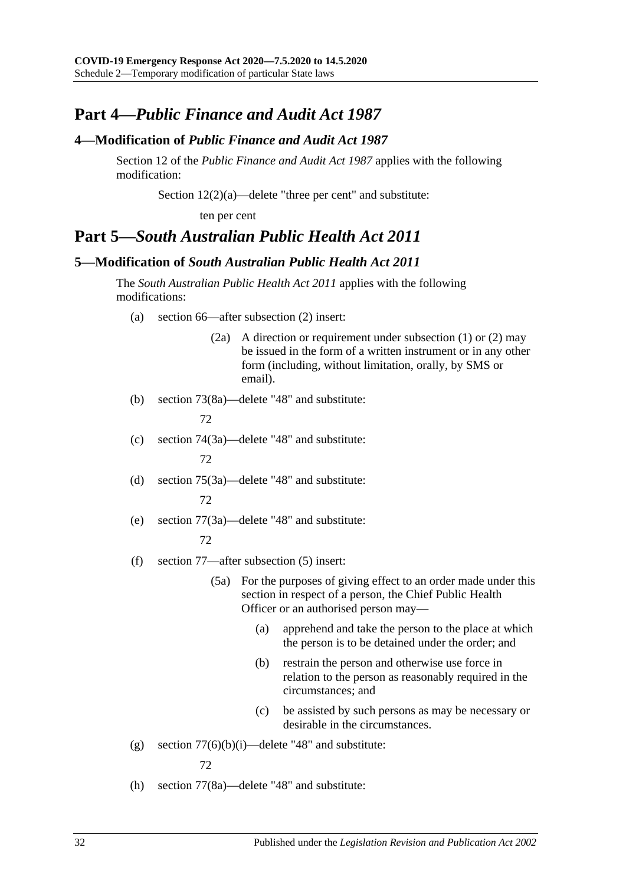## **Part 4—***Public Finance and Audit Act 1987*

### <span id="page-31-0"></span>**4—Modification of** *Public Finance and Audit Act 1987*

Section 12 of the *[Public Finance and Audit Act](http://www.legislation.sa.gov.au/index.aspx?action=legref&type=act&legtitle=Public%20Finance%20and%20Audit%20Act%201987) 1987* applies with the following modification:

Section 12(2)(a)—delete "three per cent" and substitute:

ten per cent

## **Part 5—***South Australian Public Health Act 2011*

#### <span id="page-31-1"></span>**5—Modification of** *South Australian Public Health Act 2011*

The *[South Australian Public Health Act](http://www.legislation.sa.gov.au/index.aspx?action=legref&type=act&legtitle=South%20Australian%20Public%20Health%20Act%202011) 2011* applies with the following modifications:

- (a) section 66—after subsection (2) insert:
	- (2a) A direction or requirement under subsection (1) or (2) may be issued in the form of a written instrument or in any other form (including, without limitation, orally, by SMS or email).
- (b) section 73(8a)—delete "48" and substitute:

72

(c) section 74(3a)—delete "48" and substitute:

72

- (d) section 75(3a)—delete "48" and substitute: 72
- (e) section 77(3a)—delete "48" and substitute:

#### 72

- (f) section 77—after subsection (5) insert:
	- (5a) For the purposes of giving effect to an order made under this section in respect of a person, the Chief Public Health Officer or an authorised person may—
		- (a) apprehend and take the person to the place at which the person is to be detained under the order; and
		- (b) restrain the person and otherwise use force in relation to the person as reasonably required in the circumstances; and
		- (c) be assisted by such persons as may be necessary or desirable in the circumstances.
- (g) section  $77(6)(b)(i)$ —delete "48" and substitute:

72

(h) section 77(8a)—delete "48" and substitute: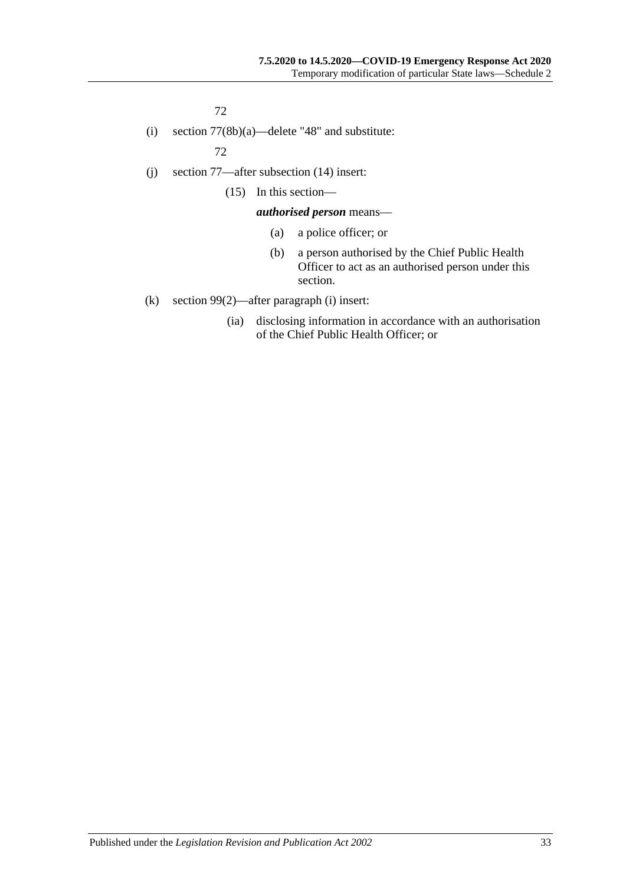72

(i) section 77(8b)(a)—delete "48" and substitute:

72

- (j) section 77—after subsection (14) insert:
	- (15) In this section—

#### *authorised person* means—

- (a) a police officer; or
- (b) a person authorised by the Chief Public Health Officer to act as an authorised person under this section.
- (k) section 99(2)—after paragraph (i) insert:
	- (ia) disclosing information in accordance with an authorisation of the Chief Public Health Officer; or